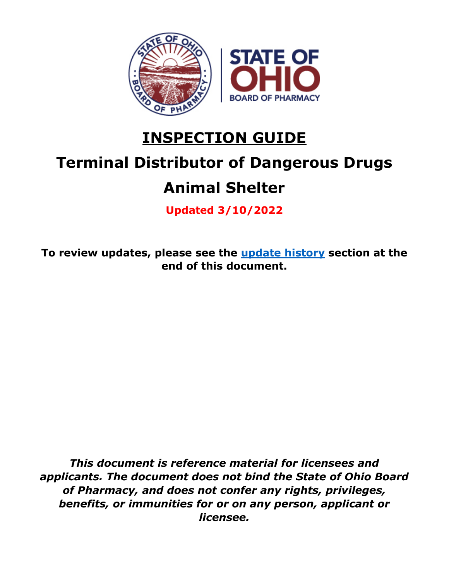

# **INSPECTION GUIDE**

# **Terminal Distributor of Dangerous Drugs**

# **Animal Shelter**

**Updated 3/10/2022**

**To review updates, please see the [update history](#page-51-0) section at the end of this document.**

*This document is reference material for licensees and applicants. The document does not bind the State of Ohio Board of Pharmacy, and does not confer any rights, privileges, benefits, or immunities for or on any person, applicant or licensee.*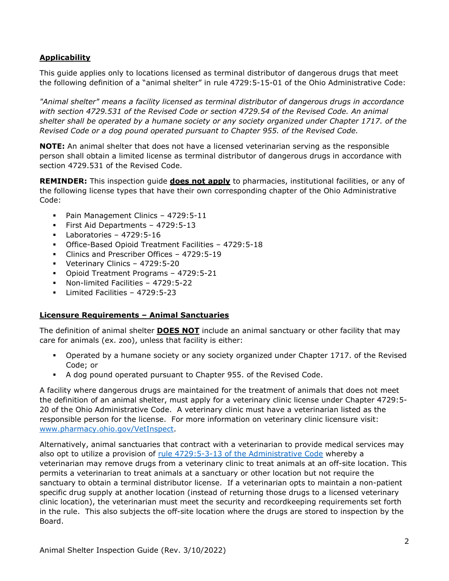### **Applicability**

This guide applies only to locations licensed as terminal distributor of dangerous drugs that meet the following definition of a "animal shelter" in rule 4729:5-15-01 of the Ohio Administrative Code:

*"Animal shelter" means a facility licensed as terminal distributor of dangerous drugs in accordance with section 4729.531 of the Revised Code or section 4729.54 of the Revised Code. An animal shelter shall be operated by a humane society or any society organized under Chapter 1717. of the Revised Code or a dog pound operated pursuant to Chapter 955. of the Revised Code.*

**NOTE:** An animal shelter that does not have a licensed veterinarian serving as the responsible person shall obtain a limited license as terminal distributor of dangerous drugs in accordance with section 4729.531 of the Revised Code.

**REMINDER:** This inspection guide **does not apply** to pharmacies, institutional facilities, or any of the following license types that have their own corresponding chapter of the Ohio Administrative Code:

- Pain Management Clinics 4729:5-11
- First Aid Departments 4729:5-13
- $\blacksquare$  Laboratories 4729:5-16
- Office-Based Opioid Treatment Facilities 4729:5-18
- Clinics and Prescriber Offices 4729:5-19
- Veterinary Clinics 4729:5-20
- Opioid Treatment Programs 4729:5-21
- Non-limited Facilities 4729:5-22
- Limited Facilities 4729:5-23

#### **Licensure Requirements – Animal Sanctuaries**

The definition of animal shelter **DOES NOT** include an animal sanctuary or other facility that may care for animals (ex. zoo), unless that facility is either:

- Operated by a humane society or any society organized under Chapter 1717. of the Revised Code; or
- A dog pound operated pursuant to Chapter 955. of the Revised Code.

A facility where dangerous drugs are maintained for the treatment of animals that does not meet the definition of an animal shelter, must apply for a veterinary clinic license under Chapter 4729:5- 20 of the Ohio Administrative Code. A veterinary clinic must have a veterinarian listed as the responsible person for the license. For more information on veterinary clinic licensure visit: [www.pharmacy.ohio.gov/VetInspect.](http://www.pharmacy.ohio.gov/VetInspect)

Alternatively, animal sanctuaries that contract with a veterinarian to provide medical services may also opt to utilize a provision of [rule 4729:5-3-13 of the Administrative Code](http://www.registerofohio.state.oh.us/pdfs/4729/5/3/4729$5-3-13_PH_FF_N_RU_20200110_1258.pdf) whereby a veterinarian may remove drugs from a veterinary clinic to treat animals at an off-site location. This permits a veterinarian to treat animals at a sanctuary or other location but not require the sanctuary to obtain a terminal distributor license. If a veterinarian opts to maintain a non-patient specific drug supply at another location (instead of returning those drugs to a licensed veterinary clinic location), the veterinarian must meet the security and recordkeeping requirements set forth in the rule. This also subjects the off-site location where the drugs are stored to inspection by the Board.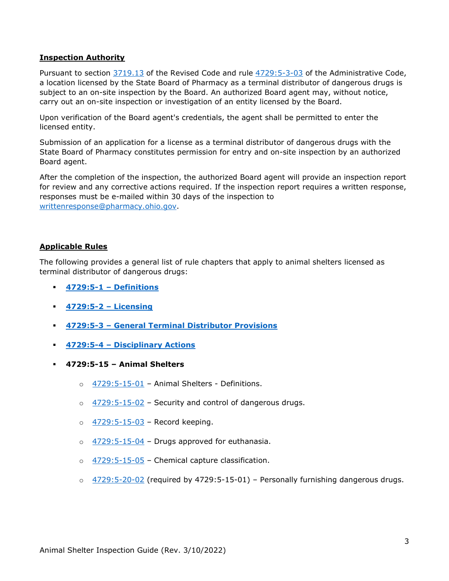#### **Inspection Authority**

Pursuant to section [3719.13](http://codes.ohio.gov/orc/3719.13) of the Revised Code and rule [4729:5-3-03](http://codes.ohio.gov/oac/4729:5-3-03) of the Administrative Code, a location licensed by the State Board of Pharmacy as a terminal distributor of dangerous drugs is subject to an on-site inspection by the Board. An authorized Board agent may, without notice, carry out an on-site inspection or investigation of an entity licensed by the Board.

Upon verification of the Board agent's credentials, the agent shall be permitted to enter the licensed entity.

Submission of an application for a license as a terminal distributor of dangerous drugs with the State Board of Pharmacy constitutes permission for entry and on-site inspection by an authorized Board agent.

After the completion of the inspection, the authorized Board agent will provide an inspection report for review and any corrective actions required. If the inspection report requires a written response, responses must be e-mailed within 30 days of the inspection to [writtenresponse@pharmacy.ohio.gov.](mailto:writtenresponse@pharmacy.ohio.gov)

#### **Applicable Rules**

The following provides a general list of rule chapters that apply to animal shelters licensed as terminal distributor of dangerous drugs:

- **[4729:5-1 –](http://codes.ohio.gov/oac/4729%3A5-1) Definitions**
- **[4729:5-2 –](http://codes.ohio.gov/oac/4729%3A5-2) Licensing**
- **4729:5-3 – [General Terminal Distributor Provisions](http://codes.ohio.gov/oac/4729%3A5-3)**
- **4729:5-4 – [Disciplinary Actions](http://codes.ohio.gov/oac/4729%3A5-4)**
- **4729:5-15 – Animal Shelters**
	- o [4729:5-15-01](https://codes.ohio.gov/ohio-administrative-code/rule-4729:5-15-01) Animal Shelters Definitions.
	- $\circ$  [4729:5-15-02](https://codes.ohio.gov/ohio-administrative-code/rule-4729:5-15-02) Security and control of dangerous drugs.
	- $\circ$  [4729:5-15-03](https://codes.ohio.gov/ohio-administrative-code/rule-4729:5-15-03) Record keeping.
	- o [4729:5-15-04](https://codes.ohio.gov/ohio-administrative-code/rule-4729:5-15-04) Drugs approved for euthanasia.
	- o [4729:5-15-05](https://codes.ohio.gov/ohio-administrative-code/rule-4729:5-15-05) Chemical capture classification.
	- $\circ$  [4729:5-20-02](https://codes.ohio.gov/ohio-administrative-code/rule-4729:5-20-02) (required by 4729:5-15-01) Personally furnishing dangerous drugs.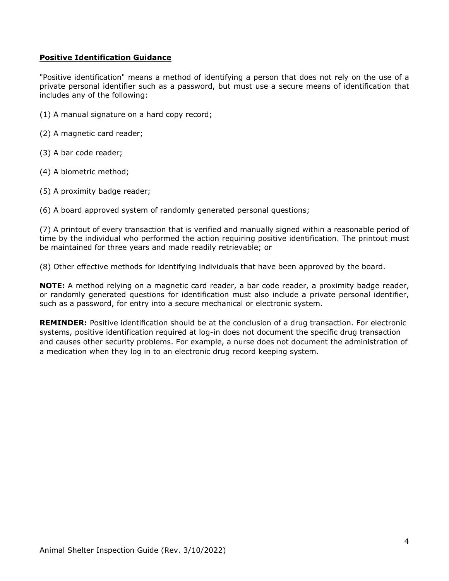#### **Positive Identification Guidance**

"Positive identification" means a method of identifying a person that does not rely on the use of a private personal identifier such as a password, but must use a secure means of identification that includes any of the following:

- (1) A manual signature on a hard copy record;
- (2) A magnetic card reader;
- (3) A bar code reader;
- (4) A biometric method;
- (5) A proximity badge reader;

(6) A board approved system of randomly generated personal questions;

(7) A printout of every transaction that is verified and manually signed within a reasonable period of time by the individual who performed the action requiring positive identification. The printout must be maintained for three years and made readily retrievable; or

(8) Other effective methods for identifying individuals that have been approved by the board.

**NOTE:** A method relying on a magnetic card reader, a bar code reader, a proximity badge reader, or randomly generated questions for identification must also include a private personal identifier, such as a password, for entry into a secure mechanical or electronic system.

**REMINDER:** Positive identification should be at the conclusion of a drug transaction. For electronic systems, positive identification required at log-in does not document the specific drug transaction and causes other security problems. For example, a nurse does not document the administration of a medication when they log in to an electronic drug record keeping system.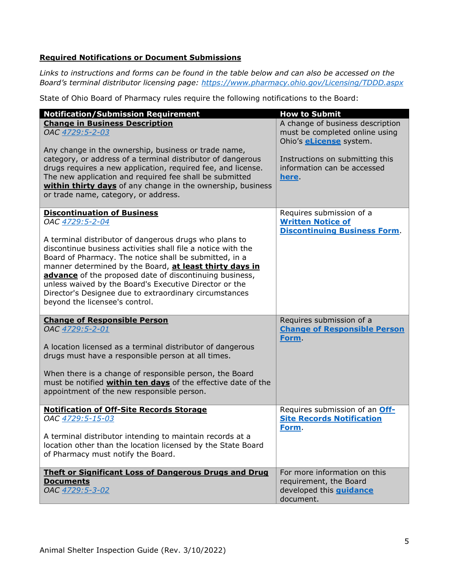#### **Required Notifications or Document Submissions**

*Links to instructions and forms can be found in the table below and can also be accessed on the Board's terminal distributor licensing page:<https://www.pharmacy.ohio.gov/Licensing/TDDD.aspx>*

State of Ohio Board of Pharmacy rules require the following notifications to the Board:

| <b>Notification/Submission Requirement</b>                                                                                                                                                                                                                                                                                                                                                                                                                                                                            | <b>How to Submit</b>                                                                                                                                                            |
|-----------------------------------------------------------------------------------------------------------------------------------------------------------------------------------------------------------------------------------------------------------------------------------------------------------------------------------------------------------------------------------------------------------------------------------------------------------------------------------------------------------------------|---------------------------------------------------------------------------------------------------------------------------------------------------------------------------------|
| <b>Change in Business Description</b><br>OAC 4729:5-2-03<br>Any change in the ownership, business or trade name,<br>category, or address of a terminal distributor of dangerous<br>drugs requires a new application, required fee, and license.<br>The new application and required fee shall be submitted<br>within thirty days of any change in the ownership, business<br>or trade name, category, or address.                                                                                                     | A change of business description<br>must be completed online using<br>Ohio's <b>eLicense</b> system.<br>Instructions on submitting this<br>information can be accessed<br>here. |
| <b>Discontinuation of Business</b><br>OAC 4729:5-2-04<br>A terminal distributor of dangerous drugs who plans to<br>discontinue business activities shall file a notice with the<br>Board of Pharmacy. The notice shall be submitted, in a<br>manner determined by the Board, at least thirty days in<br>advance of the proposed date of discontinuing business,<br>unless waived by the Board's Executive Director or the<br>Director's Designee due to extraordinary circumstances<br>beyond the licensee's control. | Requires submission of a<br><b>Written Notice of</b><br><b>Discontinuing Business Form.</b>                                                                                     |
| <b>Change of Responsible Person</b><br>OAC 4729:5-2-01<br>A location licensed as a terminal distributor of dangerous<br>drugs must have a responsible person at all times.<br>When there is a change of responsible person, the Board<br>must be notified within ten days of the effective date of the<br>appointment of the new responsible person.                                                                                                                                                                  | Requires submission of a<br><b>Change of Responsible Person</b><br>Form.                                                                                                        |
| <b>Notification of Off-Site Records Storage</b><br>OAC 4729:5-15-03<br>A terminal distributor intending to maintain records at a<br>location other than the location licensed by the State Board<br>of Pharmacy must notify the Board.                                                                                                                                                                                                                                                                                | Requires submission of an Off-<br><b>Site Records Notification</b><br>Form.                                                                                                     |
| <b>Theft or Significant Loss of Dangerous Drugs and Drug</b><br><b>Documents</b><br>OAC 4729:5-3-02                                                                                                                                                                                                                                                                                                                                                                                                                   | For more information on this<br>requirement, the Board<br>developed this <b>guidance</b><br>document.                                                                           |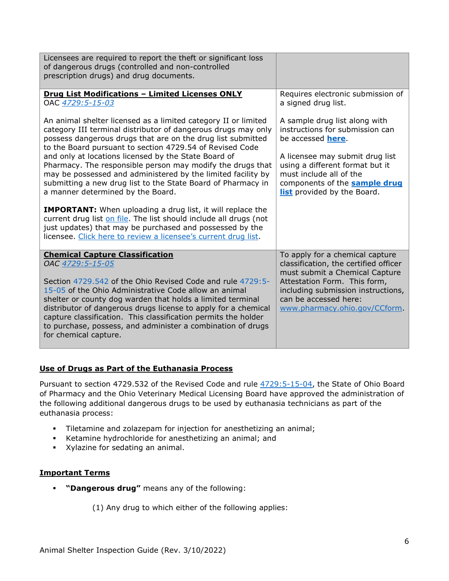| Licensees are required to report the theft or significant loss<br>of dangerous drugs (controlled and non-controlled<br>prescription drugs) and drug documents.                                                                                                                                                                                                                                                                                                                                                                                                                                                                                                                                                                                                                                                                |                                                                                                                                                                                                                                                                |
|-------------------------------------------------------------------------------------------------------------------------------------------------------------------------------------------------------------------------------------------------------------------------------------------------------------------------------------------------------------------------------------------------------------------------------------------------------------------------------------------------------------------------------------------------------------------------------------------------------------------------------------------------------------------------------------------------------------------------------------------------------------------------------------------------------------------------------|----------------------------------------------------------------------------------------------------------------------------------------------------------------------------------------------------------------------------------------------------------------|
| <b>Drug List Modifications - Limited Licenses ONLY</b><br>OAC 4729:5-15-03                                                                                                                                                                                                                                                                                                                                                                                                                                                                                                                                                                                                                                                                                                                                                    | Requires electronic submission of<br>a signed drug list.                                                                                                                                                                                                       |
| An animal shelter licensed as a limited category II or limited<br>category III terminal distributor of dangerous drugs may only<br>possess dangerous drugs that are on the drug list submitted<br>to the Board pursuant to section 4729.54 of Revised Code<br>and only at locations licensed by the State Board of<br>Pharmacy. The responsible person may modify the drugs that<br>may be possessed and administered by the limited facility by<br>submitting a new drug list to the State Board of Pharmacy in<br>a manner determined by the Board.<br><b>IMPORTANT:</b> When uploading a drug list, it will replace the<br>current drug list on file. The list should include all drugs (not<br>just updates) that may be purchased and possessed by the<br>licensee. Click here to review a licensee's current drug list. | A sample drug list along with<br>instructions for submission can<br>be accessed <b>here</b> .<br>A licensee may submit drug list<br>using a different format but it<br>must include all of the<br>components of the sample drug<br>list provided by the Board. |
| <b>Chemical Capture Classification</b><br>OAC 4729:5-15-05<br>Section 4729.542 of the Ohio Revised Code and rule 4729:5-<br>15-05 of the Ohio Administrative Code allow an animal<br>shelter or county dog warden that holds a limited terminal<br>distributor of dangerous drugs license to apply for a chemical<br>capture classification. This classification permits the holder<br>to purchase, possess, and administer a combination of drugs<br>for chemical capture.                                                                                                                                                                                                                                                                                                                                                   | To apply for a chemical capture<br>classification, the certified officer<br>must submit a Chemical Capture<br>Attestation Form. This form,<br>including submission instructions,<br>can be accessed here:<br>www.pharmacy.ohio.gov/CCform.                     |

#### **Use of Drugs as Part of the Euthanasia Process**

Pursuant to section 4729.532 of the Revised Code and rule  $4729:5-15-04$ , the State of Ohio Board of Pharmacy and the Ohio Veterinary Medical Licensing Board have approved the administration of the following additional dangerous drugs to be used by euthanasia technicians as part of the euthanasia process:

- Tiletamine and zolazepam for injection for anesthetizing an animal;
- Ketamine hydrochloride for anesthetizing an animal; and
- Xylazine for sedating an animal.

#### **Important Terms**

**"Dangerous drug"** means any of the following:

(1) Any drug to which either of the following applies: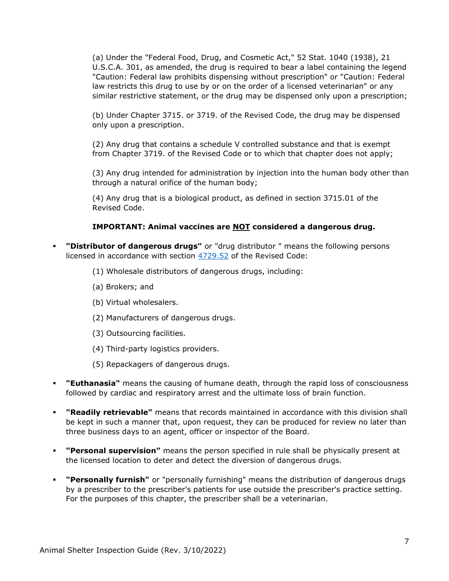(a) Under the "Federal Food, Drug, and Cosmetic Act," 52 Stat. 1040 (1938), 21 U.S.C.A. 301, as amended, the drug is required to bear a label containing the legend "Caution: Federal law prohibits dispensing without prescription" or "Caution: Federal law restricts this drug to use by or on the order of a licensed veterinarian" or any similar restrictive statement, or the drug may be dispensed only upon a prescription;

(b) Under Chapter 3715. or 3719. of the Revised Code, the drug may be dispensed only upon a prescription.

(2) Any drug that contains a schedule V controlled substance and that is exempt from Chapter 3719. of the Revised Code or to which that chapter does not apply;

(3) Any drug intended for administration by injection into the human body other than through a natural orifice of the human body;

(4) Any drug that is a biological product, as defined in section 3715.01 of the Revised Code.

#### **IMPORTANT: Animal vaccines are NOT considered a dangerous drug.**

- **"Distributor of dangerous drugs"** or "drug distributor " means the following persons licensed in accordance with section [4729.52](http://codes.ohio.gov/orc/4729.52) of the Revised Code:
	- (1) Wholesale distributors of dangerous drugs, including:
	- (a) Brokers; and
	- (b) Virtual wholesalers.
	- (2) Manufacturers of dangerous drugs.
	- (3) Outsourcing facilities.
	- (4) Third-party logistics providers.
	- (5) Repackagers of dangerous drugs.
- **"Euthanasia"** means the causing of humane death, through the rapid loss of consciousness followed by cardiac and respiratory arrest and the ultimate loss of brain function.
- **"Readily retrievable"** means that records maintained in accordance with this division shall be kept in such a manner that, upon request, they can be produced for review no later than three business days to an agent, officer or inspector of the Board.
- **"Personal supervision"** means the person specified in rule shall be physically present at the licensed location to deter and detect the diversion of dangerous drugs.
- **"Personally furnish"** or "personally furnishing" means the distribution of dangerous drugs by a prescriber to the prescriber's patients for use outside the prescriber's practice setting. For the purposes of this chapter, the prescriber shall be a veterinarian.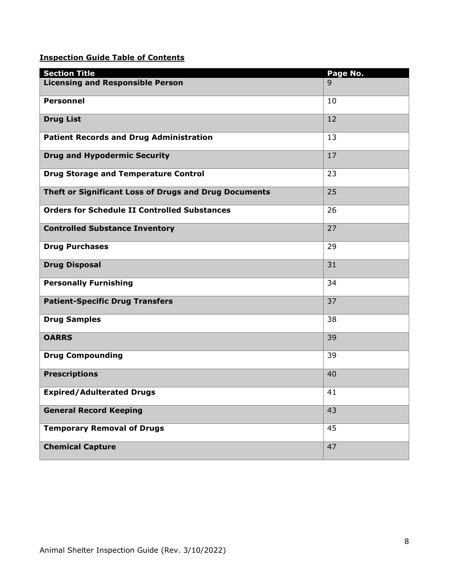### **Inspection Guide Table of Contents**

| <b>Section Title</b>                                  | Page No. |
|-------------------------------------------------------|----------|
| <b>Licensing and Responsible Person</b>               | 9        |
| <b>Personnel</b>                                      | 10       |
| <b>Drug List</b>                                      | 12       |
| <b>Patient Records and Drug Administration</b>        | 13       |
| <b>Drug and Hypodermic Security</b>                   | 17       |
| <b>Drug Storage and Temperature Control</b>           | 23       |
| Theft or Significant Loss of Drugs and Drug Documents | 25       |
| <b>Orders for Schedule II Controlled Substances</b>   | 26       |
| <b>Controlled Substance Inventory</b>                 | 27       |
| <b>Drug Purchases</b>                                 | 29       |
| <b>Drug Disposal</b>                                  | 31       |
| <b>Personally Furnishing</b>                          | 34       |
| <b>Patient-Specific Drug Transfers</b>                | 37       |
| <b>Drug Samples</b>                                   | 38       |
| <b>OARRS</b>                                          | 39       |
| <b>Drug Compounding</b>                               | 39       |
| <b>Prescriptions</b>                                  | 40       |
| <b>Expired/Adulterated Drugs</b>                      | 41       |
| <b>General Record Keeping</b>                         | 43       |
| <b>Temporary Removal of Drugs</b>                     | 45       |
| <b>Chemical Capture</b>                               | 47       |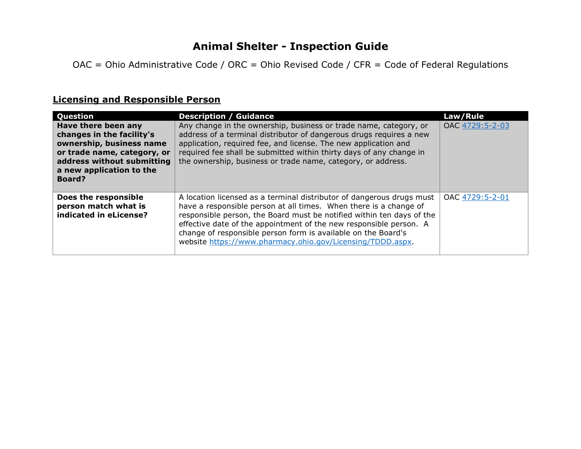# **Animal Shelter - Inspection Guide**

OAC = Ohio Administrative Code / ORC = Ohio Revised Code / CFR = Code of Federal Regulations

# **Licensing and Responsible Person**

| Question                                                                                                                                                                               | <b>Description / Guidance</b>                                                                                                                                                                                                                                                                                                                                                                                            | Law/Rule        |
|----------------------------------------------------------------------------------------------------------------------------------------------------------------------------------------|--------------------------------------------------------------------------------------------------------------------------------------------------------------------------------------------------------------------------------------------------------------------------------------------------------------------------------------------------------------------------------------------------------------------------|-----------------|
| Have there been any<br>changes in the facility's<br>ownership, business name<br>or trade name, category, or<br>address without submitting<br>a new application to the<br><b>Board?</b> | Any change in the ownership, business or trade name, category, or<br>address of a terminal distributor of dangerous drugs requires a new<br>application, required fee, and license. The new application and<br>required fee shall be submitted within thirty days of any change in<br>the ownership, business or trade name, category, or address.                                                                       | OAC 4729:5-2-03 |
| Does the responsible<br>person match what is<br>indicated in eLicense?                                                                                                                 | A location licensed as a terminal distributor of dangerous drugs must<br>have a responsible person at all times. When there is a change of<br>responsible person, the Board must be notified within ten days of the<br>effective date of the appointment of the new responsible person. A<br>change of responsible person form is available on the Board's<br>website https://www.pharmacy.ohio.gov/Licensing/TDDD.aspx. | OAC 4729:5-2-01 |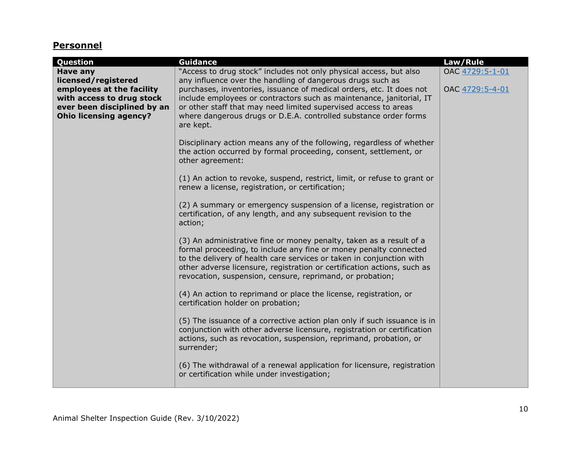# **Personnel**

| Question                                                                                                                                                  | <b>Guidance</b>                                                                                                                                                                                                                                                                                                                                                                                                                      | Law/Rule                           |
|-----------------------------------------------------------------------------------------------------------------------------------------------------------|--------------------------------------------------------------------------------------------------------------------------------------------------------------------------------------------------------------------------------------------------------------------------------------------------------------------------------------------------------------------------------------------------------------------------------------|------------------------------------|
| Have any<br>licensed/registered<br>employees at the facility<br>with access to drug stock<br>ever been disciplined by an<br><b>Ohio licensing agency?</b> | "Access to drug stock" includes not only physical access, but also<br>any influence over the handling of dangerous drugs such as<br>purchases, inventories, issuance of medical orders, etc. It does not<br>include employees or contractors such as maintenance, janitorial, IT<br>or other staff that may need limited supervised access to areas<br>where dangerous drugs or D.E.A. controlled substance order forms<br>are kept. | OAC 4729:5-1-01<br>OAC 4729:5-4-01 |
|                                                                                                                                                           | Disciplinary action means any of the following, regardless of whether<br>the action occurred by formal proceeding, consent, settlement, or<br>other agreement:                                                                                                                                                                                                                                                                       |                                    |
|                                                                                                                                                           | (1) An action to revoke, suspend, restrict, limit, or refuse to grant or<br>renew a license, registration, or certification;                                                                                                                                                                                                                                                                                                         |                                    |
|                                                                                                                                                           | (2) A summary or emergency suspension of a license, registration or<br>certification, of any length, and any subsequent revision to the<br>action;                                                                                                                                                                                                                                                                                   |                                    |
|                                                                                                                                                           | (3) An administrative fine or money penalty, taken as a result of a<br>formal proceeding, to include any fine or money penalty connected<br>to the delivery of health care services or taken in conjunction with<br>other adverse licensure, registration or certification actions, such as<br>revocation, suspension, censure, reprimand, or probation;                                                                             |                                    |
|                                                                                                                                                           | (4) An action to reprimand or place the license, registration, or<br>certification holder on probation;                                                                                                                                                                                                                                                                                                                              |                                    |
|                                                                                                                                                           | (5) The issuance of a corrective action plan only if such issuance is in<br>conjunction with other adverse licensure, registration or certification<br>actions, such as revocation, suspension, reprimand, probation, or<br>surrender;                                                                                                                                                                                               |                                    |
|                                                                                                                                                           | (6) The withdrawal of a renewal application for licensure, registration<br>or certification while under investigation;                                                                                                                                                                                                                                                                                                               |                                    |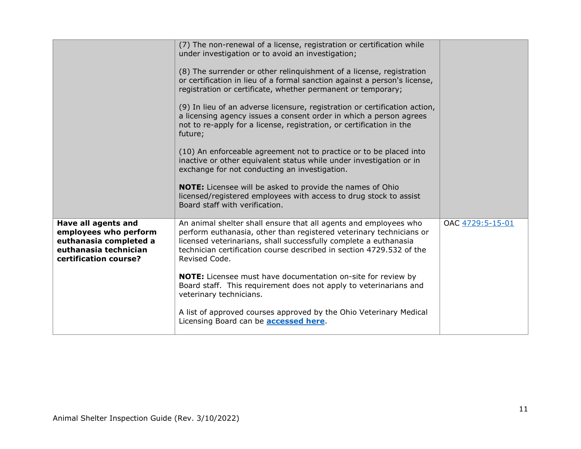|                                                                                                                          | (7) The non-renewal of a license, registration or certification while<br>under investigation or to avoid an investigation;<br>(8) The surrender or other relinguishment of a license, registration<br>or certification in lieu of a formal sanction against a person's license,<br>registration or certificate, whether permanent or temporary;<br>(9) In lieu of an adverse licensure, registration or certification action,<br>a licensing agency issues a consent order in which a person agrees<br>not to re-apply for a license, registration, or certification in the<br>future;<br>(10) An enforceable agreement not to practice or to be placed into<br>inactive or other equivalent status while under investigation or in<br>exchange for not conducting an investigation.<br>NOTE: Licensee will be asked to provide the names of Ohio<br>licensed/registered employees with access to drug stock to assist<br>Board staff with verification. |                  |
|--------------------------------------------------------------------------------------------------------------------------|----------------------------------------------------------------------------------------------------------------------------------------------------------------------------------------------------------------------------------------------------------------------------------------------------------------------------------------------------------------------------------------------------------------------------------------------------------------------------------------------------------------------------------------------------------------------------------------------------------------------------------------------------------------------------------------------------------------------------------------------------------------------------------------------------------------------------------------------------------------------------------------------------------------------------------------------------------|------------------|
| Have all agents and<br>employees who perform<br>euthanasia completed a<br>euthanasia technician<br>certification course? | An animal shelter shall ensure that all agents and employees who<br>perform euthanasia, other than registered veterinary technicians or<br>licensed veterinarians, shall successfully complete a euthanasia<br>technician certification course described in section 4729.532 of the<br>Revised Code.<br><b>NOTE:</b> Licensee must have documentation on-site for review by<br>Board staff. This requirement does not apply to veterinarians and<br>veterinary technicians.<br>A list of approved courses approved by the Ohio Veterinary Medical<br>Licensing Board can be <b>accessed here</b> .                                                                                                                                                                                                                                                                                                                                                       | OAC 4729:5-15-01 |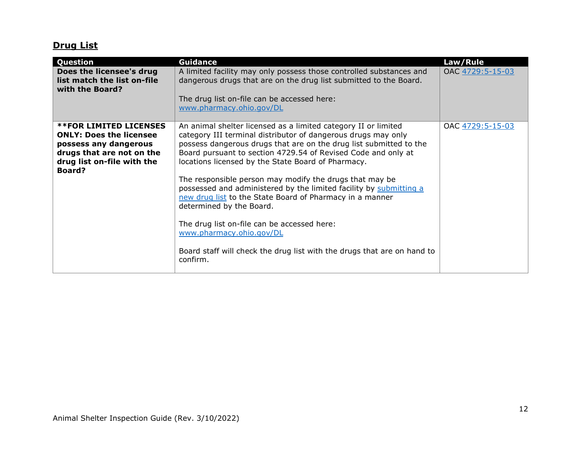# **Drug List**

| Question                                                                                                                                                             | <b>Guidance</b>                                                                                                                                                                                                                                                                                                                                                                                                                                                                                                                                                                                                                                                                                                         | Law/Rule         |
|----------------------------------------------------------------------------------------------------------------------------------------------------------------------|-------------------------------------------------------------------------------------------------------------------------------------------------------------------------------------------------------------------------------------------------------------------------------------------------------------------------------------------------------------------------------------------------------------------------------------------------------------------------------------------------------------------------------------------------------------------------------------------------------------------------------------------------------------------------------------------------------------------------|------------------|
| Does the licensee's drug<br>list match the list on-file<br>with the Board?                                                                                           | A limited facility may only possess those controlled substances and<br>dangerous drugs that are on the drug list submitted to the Board.<br>The drug list on-file can be accessed here:<br>www.pharmacy.ohio.gov/DL                                                                                                                                                                                                                                                                                                                                                                                                                                                                                                     | OAC 4729:5-15-03 |
| <b>**FOR LIMITED LICENSES</b><br><b>ONLY: Does the licensee</b><br>possess any dangerous<br>drugs that are not on the<br>drug list on-file with the<br><b>Board?</b> | An animal shelter licensed as a limited category II or limited<br>category III terminal distributor of dangerous drugs may only<br>possess dangerous drugs that are on the drug list submitted to the<br>Board pursuant to section 4729.54 of Revised Code and only at<br>locations licensed by the State Board of Pharmacy.<br>The responsible person may modify the drugs that may be<br>possessed and administered by the limited facility by submitting a<br>new drug list to the State Board of Pharmacy in a manner<br>determined by the Board.<br>The drug list on-file can be accessed here:<br>www.pharmacy.ohio.gov/DL<br>Board staff will check the drug list with the drugs that are on hand to<br>confirm. | OAC 4729:5-15-03 |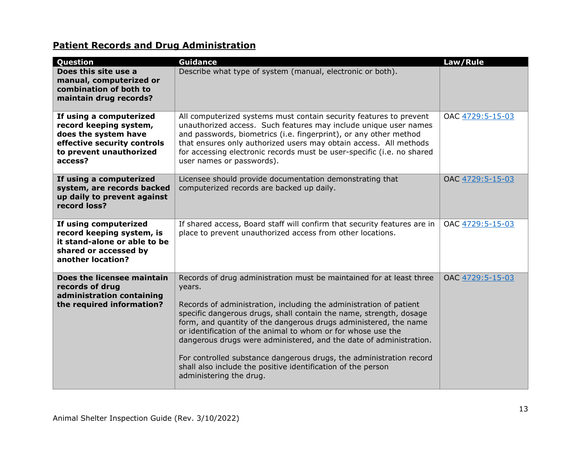# **Patient Records and Drug Administration**

| Question                                                                                                                                       | <b>Guidance</b>                                                                                                                                                                                                                                                                                                                                                                                                                                                                                                                                                                                        | Law/Rule         |
|------------------------------------------------------------------------------------------------------------------------------------------------|--------------------------------------------------------------------------------------------------------------------------------------------------------------------------------------------------------------------------------------------------------------------------------------------------------------------------------------------------------------------------------------------------------------------------------------------------------------------------------------------------------------------------------------------------------------------------------------------------------|------------------|
| Does this site use a<br>manual, computerized or<br>combination of both to<br>maintain drug records?                                            | Describe what type of system (manual, electronic or both).                                                                                                                                                                                                                                                                                                                                                                                                                                                                                                                                             |                  |
| If using a computerized<br>record keeping system,<br>does the system have<br>effective security controls<br>to prevent unauthorized<br>access? | All computerized systems must contain security features to prevent<br>unauthorized access. Such features may include unique user names<br>and passwords, biometrics (i.e. fingerprint), or any other method<br>that ensures only authorized users may obtain access. All methods<br>for accessing electronic records must be user-specific (i.e. no shared<br>user names or passwords).                                                                                                                                                                                                                | OAC 4729:5-15-03 |
| If using a computerized<br>system, are records backed<br>up daily to prevent against<br>record loss?                                           | Licensee should provide documentation demonstrating that<br>computerized records are backed up daily.                                                                                                                                                                                                                                                                                                                                                                                                                                                                                                  | OAC 4729:5-15-03 |
| If using computerized<br>record keeping system, is<br>it stand-alone or able to be<br>shared or accessed by<br>another location?               | If shared access, Board staff will confirm that security features are in<br>place to prevent unauthorized access from other locations.                                                                                                                                                                                                                                                                                                                                                                                                                                                                 | OAC 4729:5-15-03 |
| Does the licensee maintain<br>records of drug<br>administration containing<br>the required information?                                        | Records of drug administration must be maintained for at least three<br>years.<br>Records of administration, including the administration of patient<br>specific dangerous drugs, shall contain the name, strength, dosage<br>form, and quantity of the dangerous drugs administered, the name<br>or identification of the animal to whom or for whose use the<br>dangerous drugs were administered, and the date of administration.<br>For controlled substance dangerous drugs, the administration record<br>shall also include the positive identification of the person<br>administering the drug. | OAC 4729:5-15-03 |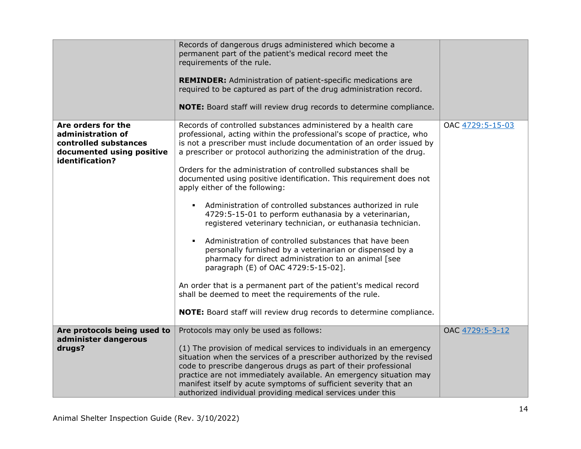|                                                                                                                  | Records of dangerous drugs administered which become a<br>permanent part of the patient's medical record meet the<br>requirements of the rule.<br><b>REMINDER:</b> Administration of patient-specific medications are<br>required to be captured as part of the drug administration record.<br>NOTE: Board staff will review drug records to determine compliance.                                                                                                                                                                                                                                                                                                                                                                                                                                                                                                                                                                                                                                                                                                                                                      |                  |
|------------------------------------------------------------------------------------------------------------------|-------------------------------------------------------------------------------------------------------------------------------------------------------------------------------------------------------------------------------------------------------------------------------------------------------------------------------------------------------------------------------------------------------------------------------------------------------------------------------------------------------------------------------------------------------------------------------------------------------------------------------------------------------------------------------------------------------------------------------------------------------------------------------------------------------------------------------------------------------------------------------------------------------------------------------------------------------------------------------------------------------------------------------------------------------------------------------------------------------------------------|------------------|
| Are orders for the<br>administration of<br>controlled substances<br>documented using positive<br>identification? | Records of controlled substances administered by a health care<br>professional, acting within the professional's scope of practice, who<br>is not a prescriber must include documentation of an order issued by<br>a prescriber or protocol authorizing the administration of the drug.<br>Orders for the administration of controlled substances shall be<br>documented using positive identification. This requirement does not<br>apply either of the following:<br>Administration of controlled substances authorized in rule<br>$\blacksquare$<br>4729:5-15-01 to perform euthanasia by a veterinarian,<br>registered veterinary technician, or euthanasia technician.<br>Administration of controlled substances that have been<br>$\blacksquare$<br>personally furnished by a veterinarian or dispensed by a<br>pharmacy for direct administration to an animal [see<br>paragraph (E) of OAC 4729:5-15-02].<br>An order that is a permanent part of the patient's medical record<br>shall be deemed to meet the requirements of the rule.<br>NOTE: Board staff will review drug records to determine compliance. | OAC 4729:5-15-03 |
| Are protocols being used to<br>administer dangerous                                                              | Protocols may only be used as follows:                                                                                                                                                                                                                                                                                                                                                                                                                                                                                                                                                                                                                                                                                                                                                                                                                                                                                                                                                                                                                                                                                  | OAC 4729:5-3-12  |
| drugs?                                                                                                           | (1) The provision of medical services to individuals in an emergency<br>situation when the services of a prescriber authorized by the revised<br>code to prescribe dangerous drugs as part of their professional<br>practice are not immediately available. An emergency situation may<br>manifest itself by acute symptoms of sufficient severity that an<br>authorized individual providing medical services under this                                                                                                                                                                                                                                                                                                                                                                                                                                                                                                                                                                                                                                                                                               |                  |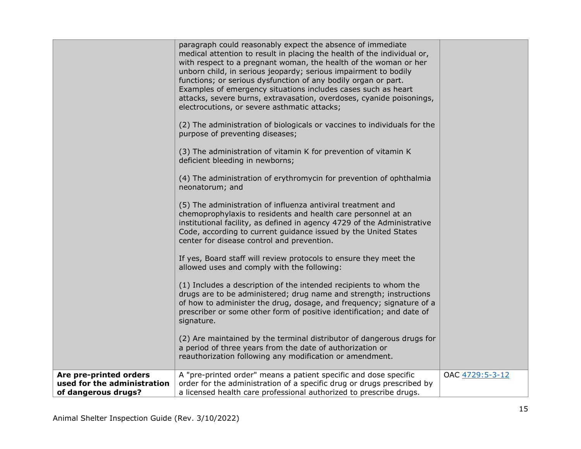|                                                                              | paragraph could reasonably expect the absence of immediate<br>medical attention to result in placing the health of the individual or,<br>with respect to a pregnant woman, the health of the woman or her<br>unborn child, in serious jeopardy; serious impairment to bodily<br>functions; or serious dysfunction of any bodily organ or part.<br>Examples of emergency situations includes cases such as heart<br>attacks, severe burns, extravasation, overdoses, cyanide poisonings,<br>electrocutions, or severe asthmatic attacks;<br>(2) The administration of biologicals or vaccines to individuals for the<br>purpose of preventing diseases;<br>(3) The administration of vitamin K for prevention of vitamin K<br>deficient bleeding in newborns;<br>(4) The administration of erythromycin for prevention of ophthalmia<br>neonatorum; and<br>(5) The administration of influenza antiviral treatment and<br>chemoprophylaxis to residents and health care personnel at an<br>institutional facility, as defined in agency 4729 of the Administrative<br>Code, according to current guidance issued by the United States<br>center for disease control and prevention.<br>If yes, Board staff will review protocols to ensure they meet the<br>allowed uses and comply with the following:<br>(1) Includes a description of the intended recipients to whom the<br>drugs are to be administered; drug name and strength; instructions<br>of how to administer the drug, dosage, and frequency; signature of a<br>prescriber or some other form of positive identification; and date of<br>signature.<br>(2) Are maintained by the terminal distributor of dangerous drugs for<br>a period of three years from the date of authorization or<br>reauthorization following any modification or amendment. |                 |
|------------------------------------------------------------------------------|--------------------------------------------------------------------------------------------------------------------------------------------------------------------------------------------------------------------------------------------------------------------------------------------------------------------------------------------------------------------------------------------------------------------------------------------------------------------------------------------------------------------------------------------------------------------------------------------------------------------------------------------------------------------------------------------------------------------------------------------------------------------------------------------------------------------------------------------------------------------------------------------------------------------------------------------------------------------------------------------------------------------------------------------------------------------------------------------------------------------------------------------------------------------------------------------------------------------------------------------------------------------------------------------------------------------------------------------------------------------------------------------------------------------------------------------------------------------------------------------------------------------------------------------------------------------------------------------------------------------------------------------------------------------------------------------------------------------------------------------------------------------------------------------------------------------|-----------------|
| Are pre-printed orders<br>used for the administration<br>of dangerous drugs? | A "pre-printed order" means a patient specific and dose specific<br>order for the administration of a specific drug or drugs prescribed by<br>a licensed health care professional authorized to prescribe drugs.                                                                                                                                                                                                                                                                                                                                                                                                                                                                                                                                                                                                                                                                                                                                                                                                                                                                                                                                                                                                                                                                                                                                                                                                                                                                                                                                                                                                                                                                                                                                                                                                   | OAC 4729:5-3-12 |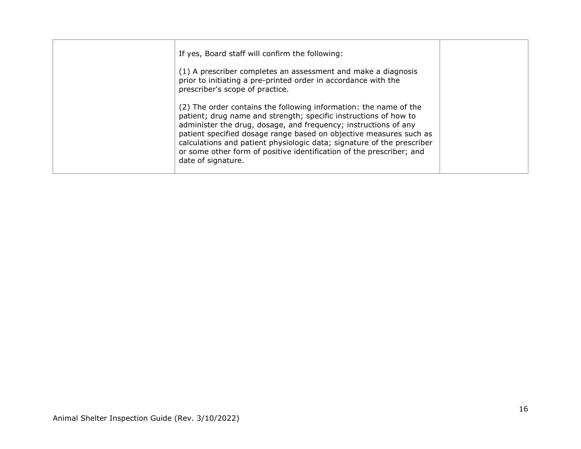| If yes, Board staff will confirm the following:                                                                                                                                                                                                                                                                                                                                                                                                        |  |
|--------------------------------------------------------------------------------------------------------------------------------------------------------------------------------------------------------------------------------------------------------------------------------------------------------------------------------------------------------------------------------------------------------------------------------------------------------|--|
| (1) A prescriber completes an assessment and make a diagnosis<br>prior to initiating a pre-printed order in accordance with the<br>prescriber's scope of practice.                                                                                                                                                                                                                                                                                     |  |
| (2) The order contains the following information: the name of the<br>patient; drug name and strength; specific instructions of how to<br>administer the drug, dosage, and frequency; instructions of any<br>patient specified dosage range based on objective measures such as<br>calculations and patient physiologic data; signature of the prescriber<br>or some other form of positive identification of the prescriber; and<br>date of signature. |  |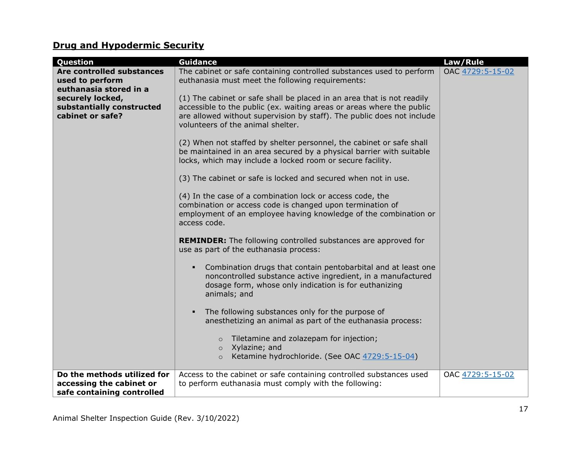# **Drug and Hypodermic Security**

| Question                                                                              | <b>Guidance</b>                                                                                                                                                                                                                                                | Law/Rule         |
|---------------------------------------------------------------------------------------|----------------------------------------------------------------------------------------------------------------------------------------------------------------------------------------------------------------------------------------------------------------|------------------|
| Are controlled substances<br>used to perform<br>euthanasia stored in a                | The cabinet or safe containing controlled substances used to perform<br>euthanasia must meet the following requirements:                                                                                                                                       | OAC 4729:5-15-02 |
| securely locked,<br>substantially constructed<br>cabinet or safe?                     | (1) The cabinet or safe shall be placed in an area that is not readily<br>accessible to the public (ex. waiting areas or areas where the public<br>are allowed without supervision by staff). The public does not include<br>volunteers of the animal shelter. |                  |
|                                                                                       | (2) When not staffed by shelter personnel, the cabinet or safe shall<br>be maintained in an area secured by a physical barrier with suitable<br>locks, which may include a locked room or secure facility.                                                     |                  |
|                                                                                       | (3) The cabinet or safe is locked and secured when not in use.                                                                                                                                                                                                 |                  |
|                                                                                       | (4) In the case of a combination lock or access code, the<br>combination or access code is changed upon termination of<br>employment of an employee having knowledge of the combination or<br>access code.                                                     |                  |
|                                                                                       | <b>REMINDER:</b> The following controlled substances are approved for<br>use as part of the euthanasia process:                                                                                                                                                |                  |
|                                                                                       | Combination drugs that contain pentobarbital and at least one<br>٠<br>noncontrolled substance active ingredient, in a manufactured<br>dosage form, whose only indication is for euthanizing<br>animals; and                                                    |                  |
|                                                                                       | The following substances only for the purpose of<br>$\blacksquare$<br>anesthetizing an animal as part of the euthanasia process:                                                                                                                               |                  |
|                                                                                       | Tiletamine and zolazepam for injection;<br>$\Omega$<br>Xylazine; and<br>$\circ$<br>Ketamine hydrochloride. (See OAC 4729:5-15-04)<br>$\circ$                                                                                                                   |                  |
| Do the methods utilized for<br>accessing the cabinet or<br>safe containing controlled | Access to the cabinet or safe containing controlled substances used<br>to perform euthanasia must comply with the following:                                                                                                                                   | OAC 4729:5-15-02 |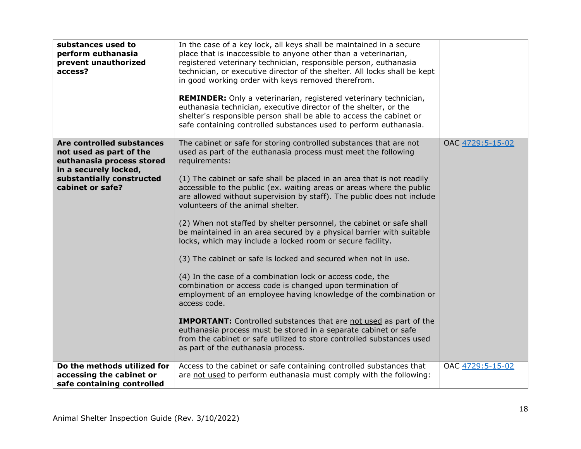| substances used to<br>perform euthanasia<br>prevent unauthorized<br>access?                                                                                 | In the case of a key lock, all keys shall be maintained in a secure<br>place that is inaccessible to anyone other than a veterinarian,<br>registered veterinary technician, responsible person, euthanasia<br>technician, or executive director of the shelter. All locks shall be kept<br>in good working order with keys removed therefrom.<br>REMINDER: Only a veterinarian, registered veterinary technician,<br>euthanasia technician, executive director of the shelter, or the<br>shelter's responsible person shall be able to access the cabinet or<br>safe containing controlled substances used to perform euthanasia.                                                                                                                                                                                                                                                                                                                                                                                                                                                                                                                                                   |                  |
|-------------------------------------------------------------------------------------------------------------------------------------------------------------|-------------------------------------------------------------------------------------------------------------------------------------------------------------------------------------------------------------------------------------------------------------------------------------------------------------------------------------------------------------------------------------------------------------------------------------------------------------------------------------------------------------------------------------------------------------------------------------------------------------------------------------------------------------------------------------------------------------------------------------------------------------------------------------------------------------------------------------------------------------------------------------------------------------------------------------------------------------------------------------------------------------------------------------------------------------------------------------------------------------------------------------------------------------------------------------|------------------|
| Are controlled substances<br>not used as part of the<br>euthanasia process stored<br>in a securely locked,<br>substantially constructed<br>cabinet or safe? | The cabinet or safe for storing controlled substances that are not<br>used as part of the euthanasia process must meet the following<br>requirements:<br>(1) The cabinet or safe shall be placed in an area that is not readily<br>accessible to the public (ex. waiting areas or areas where the public<br>are allowed without supervision by staff). The public does not include<br>volunteers of the animal shelter.<br>(2) When not staffed by shelter personnel, the cabinet or safe shall<br>be maintained in an area secured by a physical barrier with suitable<br>locks, which may include a locked room or secure facility.<br>(3) The cabinet or safe is locked and secured when not in use.<br>(4) In the case of a combination lock or access code, the<br>combination or access code is changed upon termination of<br>employment of an employee having knowledge of the combination or<br>access code.<br><b>IMPORTANT:</b> Controlled substances that are not used as part of the<br>euthanasia process must be stored in a separate cabinet or safe<br>from the cabinet or safe utilized to store controlled substances used<br>as part of the euthanasia process. | OAC 4729:5-15-02 |
| Do the methods utilized for<br>accessing the cabinet or<br>safe containing controlled                                                                       | Access to the cabinet or safe containing controlled substances that<br>are not used to perform euthanasia must comply with the following:                                                                                                                                                                                                                                                                                                                                                                                                                                                                                                                                                                                                                                                                                                                                                                                                                                                                                                                                                                                                                                           | OAC 4729:5-15-02 |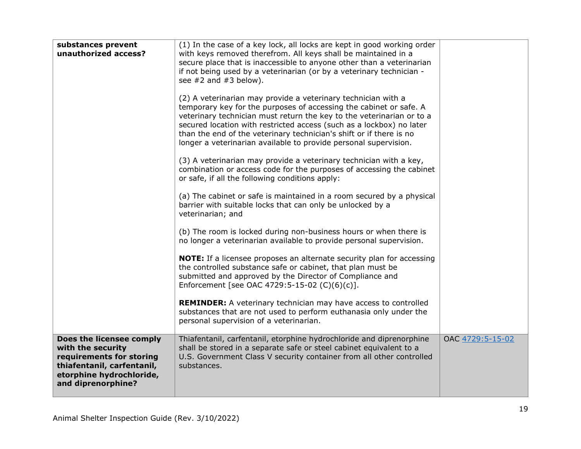| substances prevent<br>unauthorized access?                                                                                                                | (1) In the case of a key lock, all locks are kept in good working order<br>with keys removed therefrom. All keys shall be maintained in a<br>secure place that is inaccessible to anyone other than a veterinarian<br>if not being used by a veterinarian (or by a veterinary technician -<br>see $#2$ and $#3$ below).<br>(2) A veterinarian may provide a veterinary technician with a<br>temporary key for the purposes of accessing the cabinet or safe. A<br>veterinary technician must return the key to the veterinarian or to a<br>secured location with restricted access (such as a lockbox) no later<br>than the end of the veterinary technician's shift or if there is no<br>longer a veterinarian available to provide personal supervision.<br>(3) A veterinarian may provide a veterinary technician with a key,<br>combination or access code for the purposes of accessing the cabinet<br>or safe, if all the following conditions apply:<br>(a) The cabinet or safe is maintained in a room secured by a physical<br>barrier with suitable locks that can only be unlocked by a<br>veterinarian; and<br>(b) The room is locked during non-business hours or when there is<br>no longer a veterinarian available to provide personal supervision.<br>NOTE: If a licensee proposes an alternate security plan for accessing<br>the controlled substance safe or cabinet, that plan must be<br>submitted and approved by the Director of Compliance and |                  |
|-----------------------------------------------------------------------------------------------------------------------------------------------------------|-------------------------------------------------------------------------------------------------------------------------------------------------------------------------------------------------------------------------------------------------------------------------------------------------------------------------------------------------------------------------------------------------------------------------------------------------------------------------------------------------------------------------------------------------------------------------------------------------------------------------------------------------------------------------------------------------------------------------------------------------------------------------------------------------------------------------------------------------------------------------------------------------------------------------------------------------------------------------------------------------------------------------------------------------------------------------------------------------------------------------------------------------------------------------------------------------------------------------------------------------------------------------------------------------------------------------------------------------------------------------------------------------------------------------------------------------------------------------|------------------|
|                                                                                                                                                           | Enforcement [see OAC 4729:5-15-02 (C)(6)(c)].<br><b>REMINDER:</b> A veterinary technician may have access to controlled<br>substances that are not used to perform euthanasia only under the<br>personal supervision of a veterinarian.                                                                                                                                                                                                                                                                                                                                                                                                                                                                                                                                                                                                                                                                                                                                                                                                                                                                                                                                                                                                                                                                                                                                                                                                                                 |                  |
| Does the licensee comply<br>with the security<br>requirements for storing<br>thiafentanil, carfentanil,<br>etorphine hydrochloride,<br>and diprenorphine? | Thiafentanil, carfentanil, etorphine hydrochloride and diprenorphine<br>shall be stored in a separate safe or steel cabinet equivalent to a<br>U.S. Government Class V security container from all other controlled<br>substances.                                                                                                                                                                                                                                                                                                                                                                                                                                                                                                                                                                                                                                                                                                                                                                                                                                                                                                                                                                                                                                                                                                                                                                                                                                      | OAC 4729:5-15-02 |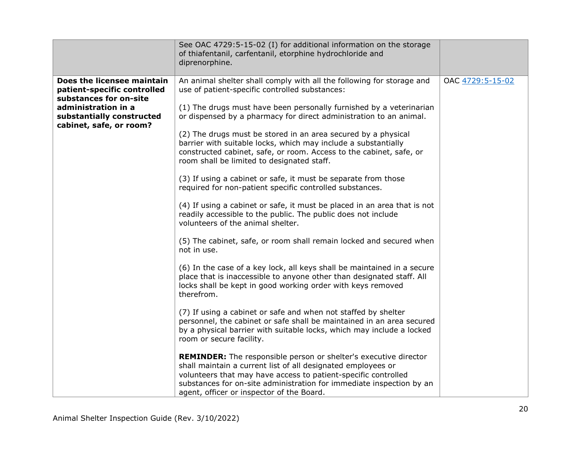|                                                                                                                                                                    | See OAC 4729:5-15-02 (I) for additional information on the storage<br>of thiafentanil, carfentanil, etorphine hydrochloride and<br>diprenorphine.                                                                                                                                                                                                                                                                                                                                                                                                                                              |                  |
|--------------------------------------------------------------------------------------------------------------------------------------------------------------------|------------------------------------------------------------------------------------------------------------------------------------------------------------------------------------------------------------------------------------------------------------------------------------------------------------------------------------------------------------------------------------------------------------------------------------------------------------------------------------------------------------------------------------------------------------------------------------------------|------------------|
| Does the licensee maintain<br>patient-specific controlled<br>substances for on-site<br>administration in a<br>substantially constructed<br>cabinet, safe, or room? | An animal shelter shall comply with all the following for storage and<br>use of patient-specific controlled substances:<br>(1) The drugs must have been personally furnished by a veterinarian<br>or dispensed by a pharmacy for direct administration to an animal.<br>(2) The drugs must be stored in an area secured by a physical<br>barrier with suitable locks, which may include a substantially<br>constructed cabinet, safe, or room. Access to the cabinet, safe, or<br>room shall be limited to designated staff.<br>(3) If using a cabinet or safe, it must be separate from those | OAC 4729:5-15-02 |
|                                                                                                                                                                    | required for non-patient specific controlled substances.<br>(4) If using a cabinet or safe, it must be placed in an area that is not<br>readily accessible to the public. The public does not include<br>volunteers of the animal shelter.<br>(5) The cabinet, safe, or room shall remain locked and secured when<br>not in use.                                                                                                                                                                                                                                                               |                  |
|                                                                                                                                                                    | (6) In the case of a key lock, all keys shall be maintained in a secure<br>place that is inaccessible to anyone other than designated staff. All<br>locks shall be kept in good working order with keys removed<br>therefrom.                                                                                                                                                                                                                                                                                                                                                                  |                  |
|                                                                                                                                                                    | (7) If using a cabinet or safe and when not staffed by shelter<br>personnel, the cabinet or safe shall be maintained in an area secured<br>by a physical barrier with suitable locks, which may include a locked<br>room or secure facility.                                                                                                                                                                                                                                                                                                                                                   |                  |
|                                                                                                                                                                    | <b>REMINDER:</b> The responsible person or shelter's executive director<br>shall maintain a current list of all designated employees or<br>volunteers that may have access to patient-specific controlled<br>substances for on-site administration for immediate inspection by an<br>agent, officer or inspector of the Board.                                                                                                                                                                                                                                                                 |                  |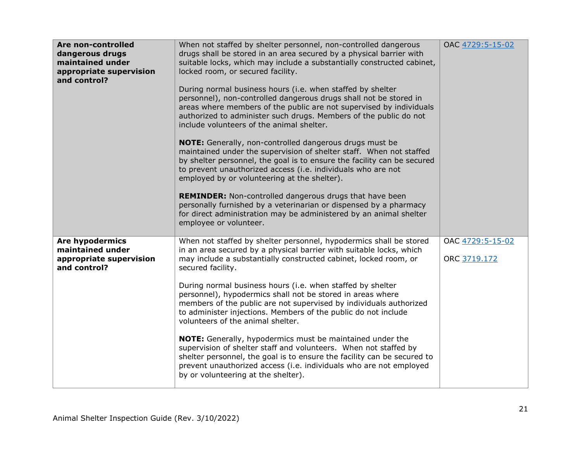| Are non-controlled<br>dangerous drugs<br>maintained under<br>appropriate supervision<br>and control? | When not staffed by shelter personnel, non-controlled dangerous<br>drugs shall be stored in an area secured by a physical barrier with<br>suitable locks, which may include a substantially constructed cabinet,<br>locked room, or secured facility.<br>During normal business hours (i.e. when staffed by shelter<br>personnel), non-controlled dangerous drugs shall not be stored in<br>areas where members of the public are not supervised by individuals<br>authorized to administer such drugs. Members of the public do not<br>include volunteers of the animal shelter.<br><b>NOTE:</b> Generally, non-controlled dangerous drugs must be<br>maintained under the supervision of shelter staff. When not staffed<br>by shelter personnel, the goal is to ensure the facility can be secured<br>to prevent unauthorized access (i.e. individuals who are not<br>employed by or volunteering at the shelter).<br><b>REMINDER:</b> Non-controlled dangerous drugs that have been<br>personally furnished by a veterinarian or dispensed by a pharmacy<br>for direct administration may be administered by an animal shelter<br>employee or volunteer. | OAC 4729:5-15-02                 |
|------------------------------------------------------------------------------------------------------|--------------------------------------------------------------------------------------------------------------------------------------------------------------------------------------------------------------------------------------------------------------------------------------------------------------------------------------------------------------------------------------------------------------------------------------------------------------------------------------------------------------------------------------------------------------------------------------------------------------------------------------------------------------------------------------------------------------------------------------------------------------------------------------------------------------------------------------------------------------------------------------------------------------------------------------------------------------------------------------------------------------------------------------------------------------------------------------------------------------------------------------------------------------|----------------------------------|
| <b>Are hypodermics</b><br>maintained under<br>appropriate supervision<br>and control?                | When not staffed by shelter personnel, hypodermics shall be stored<br>in an area secured by a physical barrier with suitable locks, which<br>may include a substantially constructed cabinet, locked room, or<br>secured facility.<br>During normal business hours (i.e. when staffed by shelter<br>personnel), hypodermics shall not be stored in areas where<br>members of the public are not supervised by individuals authorized<br>to administer injections. Members of the public do not include<br>volunteers of the animal shelter.<br><b>NOTE:</b> Generally, hypodermics must be maintained under the<br>supervision of shelter staff and volunteers. When not staffed by<br>shelter personnel, the goal is to ensure the facility can be secured to<br>prevent unauthorized access (i.e. individuals who are not employed<br>by or volunteering at the shelter).                                                                                                                                                                                                                                                                                  | OAC 4729:5-15-02<br>ORC 3719.172 |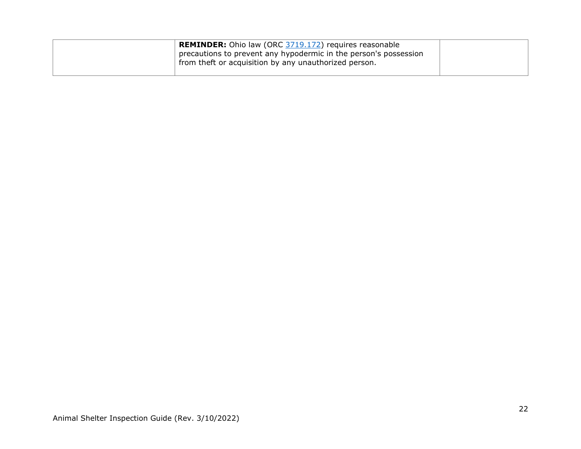| <b>REMINDER:</b> Ohio law (ORC 3719.172) requires reasonable     |  |
|------------------------------------------------------------------|--|
| precautions to prevent any hypodermic in the person's possession |  |
| from theft or acquisition by any unauthorized person.            |  |
|                                                                  |  |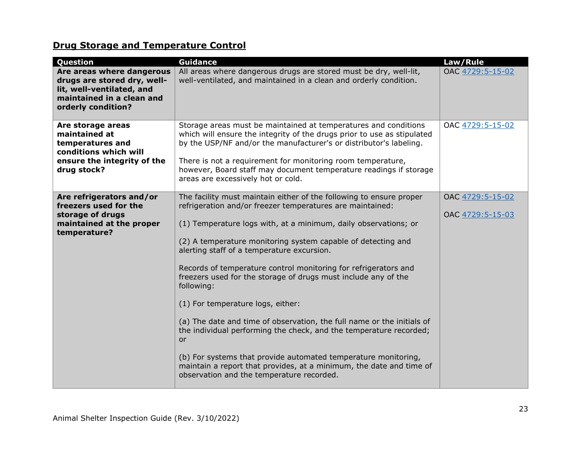# **Drug Storage and Temperature Control**

| Question                                                                                                                                 | <b>Guidance</b>                                                                                                                                                                                                                                                                                                                                                                                                                                                                                                                                                                                                                                                                                                                                                                                                                                              | Law/Rule                             |
|------------------------------------------------------------------------------------------------------------------------------------------|--------------------------------------------------------------------------------------------------------------------------------------------------------------------------------------------------------------------------------------------------------------------------------------------------------------------------------------------------------------------------------------------------------------------------------------------------------------------------------------------------------------------------------------------------------------------------------------------------------------------------------------------------------------------------------------------------------------------------------------------------------------------------------------------------------------------------------------------------------------|--------------------------------------|
| Are areas where dangerous<br>drugs are stored dry, well-<br>lit, well-ventilated, and<br>maintained in a clean and<br>orderly condition? | All areas where dangerous drugs are stored must be dry, well-lit,<br>well-ventilated, and maintained in a clean and orderly condition.                                                                                                                                                                                                                                                                                                                                                                                                                                                                                                                                                                                                                                                                                                                       | OAC 4729:5-15-02                     |
| Are storage areas<br>maintained at<br>temperatures and<br>conditions which will<br>ensure the integrity of the<br>drug stock?            | Storage areas must be maintained at temperatures and conditions<br>which will ensure the integrity of the drugs prior to use as stipulated<br>by the USP/NF and/or the manufacturer's or distributor's labeling.<br>There is not a requirement for monitoring room temperature,<br>however, Board staff may document temperature readings if storage<br>areas are excessively hot or cold.                                                                                                                                                                                                                                                                                                                                                                                                                                                                   | OAC 4729:5-15-02                     |
| Are refrigerators and/or<br>freezers used for the<br>storage of drugs<br>maintained at the proper<br>temperature?                        | The facility must maintain either of the following to ensure proper<br>refrigeration and/or freezer temperatures are maintained:<br>(1) Temperature logs with, at a minimum, daily observations; or<br>(2) A temperature monitoring system capable of detecting and<br>alerting staff of a temperature excursion.<br>Records of temperature control monitoring for refrigerators and<br>freezers used for the storage of drugs must include any of the<br>following:<br>(1) For temperature logs, either:<br>(a) The date and time of observation, the full name or the initials of<br>the individual performing the check, and the temperature recorded;<br><b>or</b><br>(b) For systems that provide automated temperature monitoring,<br>maintain a report that provides, at a minimum, the date and time of<br>observation and the temperature recorded. | OAC 4729:5-15-02<br>OAC 4729:5-15-03 |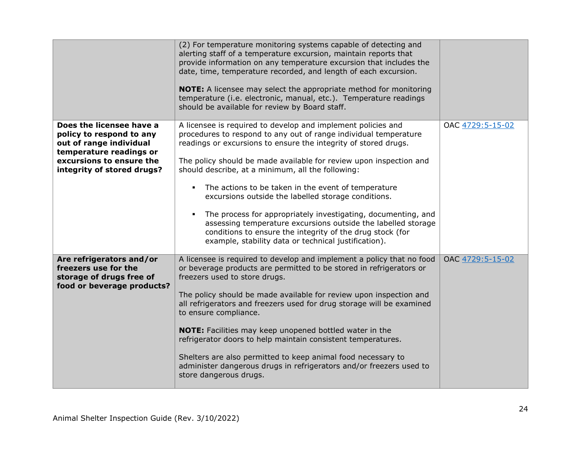|                                                                                                                                                                      | (2) For temperature monitoring systems capable of detecting and<br>alerting staff of a temperature excursion, maintain reports that<br>provide information on any temperature excursion that includes the<br>date, time, temperature recorded, and length of each excursion.<br>NOTE: A licensee may select the appropriate method for monitoring<br>temperature (i.e. electronic, manual, etc.). Temperature readings<br>should be available for review by Board staff.                                                                                                                                                                                                                                      |                  |
|----------------------------------------------------------------------------------------------------------------------------------------------------------------------|---------------------------------------------------------------------------------------------------------------------------------------------------------------------------------------------------------------------------------------------------------------------------------------------------------------------------------------------------------------------------------------------------------------------------------------------------------------------------------------------------------------------------------------------------------------------------------------------------------------------------------------------------------------------------------------------------------------|------------------|
| Does the licensee have a<br>policy to respond to any<br>out of range individual<br>temperature readings or<br>excursions to ensure the<br>integrity of stored drugs? | A licensee is required to develop and implement policies and<br>procedures to respond to any out of range individual temperature<br>readings or excursions to ensure the integrity of stored drugs.<br>The policy should be made available for review upon inspection and<br>should describe, at a minimum, all the following:<br>The actions to be taken in the event of temperature<br>٠<br>excursions outside the labelled storage conditions.<br>The process for appropriately investigating, documenting, and<br>٠<br>assessing temperature excursions outside the labelled storage<br>conditions to ensure the integrity of the drug stock (for<br>example, stability data or technical justification). | OAC 4729:5-15-02 |
| Are refrigerators and/or<br>freezers use for the<br>storage of drugs free of<br>food or beverage products?                                                           | A licensee is required to develop and implement a policy that no food<br>or beverage products are permitted to be stored in refrigerators or<br>freezers used to store drugs.<br>The policy should be made available for review upon inspection and<br>all refrigerators and freezers used for drug storage will be examined<br>to ensure compliance.<br><b>NOTE:</b> Facilities may keep unopened bottled water in the<br>refrigerator doors to help maintain consistent temperatures.<br>Shelters are also permitted to keep animal food necessary to<br>administer dangerous drugs in refrigerators and/or freezers used to<br>store dangerous drugs.                                                      | OAC 4729:5-15-02 |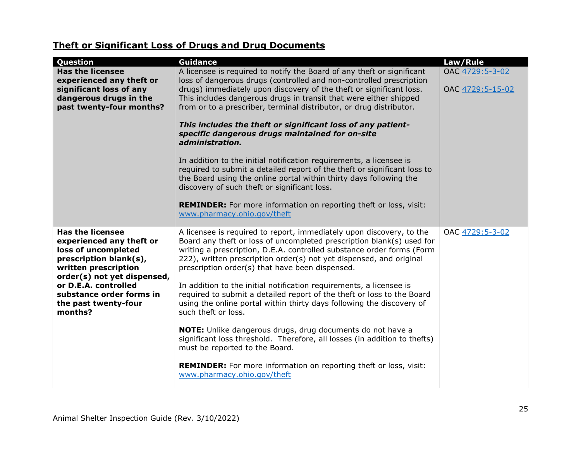# **Theft or Significant Loss of Drugs and Drug Documents**

| Question                                                                                                                                                    | <b>Guidance</b>                                                                                                                                                                                                                                                                                                                                  | Law/Rule         |
|-------------------------------------------------------------------------------------------------------------------------------------------------------------|--------------------------------------------------------------------------------------------------------------------------------------------------------------------------------------------------------------------------------------------------------------------------------------------------------------------------------------------------|------------------|
| <b>Has the licensee</b><br>experienced any theft or                                                                                                         | A licensee is required to notify the Board of any theft or significant<br>loss of dangerous drugs (controlled and non-controlled prescription                                                                                                                                                                                                    | OAC 4729:5-3-02  |
| significant loss of any<br>dangerous drugs in the<br>past twenty-four months?                                                                               | drugs) immediately upon discovery of the theft or significant loss.<br>This includes dangerous drugs in transit that were either shipped<br>from or to a prescriber, terminal distributor, or drug distributor.                                                                                                                                  | OAC 4729:5-15-02 |
|                                                                                                                                                             | This includes the theft or significant loss of any patient-<br>specific dangerous drugs maintained for on-site<br>administration.                                                                                                                                                                                                                |                  |
|                                                                                                                                                             | In addition to the initial notification requirements, a licensee is<br>required to submit a detailed report of the theft or significant loss to<br>the Board using the online portal within thirty days following the<br>discovery of such theft or significant loss.                                                                            |                  |
|                                                                                                                                                             | <b>REMINDER:</b> For more information on reporting theft or loss, visit:<br>www.pharmacy.ohio.gov/theft                                                                                                                                                                                                                                          |                  |
| <b>Has the licensee</b><br>experienced any theft or<br>loss of uncompleted<br>prescription blank(s),<br>written prescription<br>order(s) not yet dispensed, | A licensee is required to report, immediately upon discovery, to the<br>Board any theft or loss of uncompleted prescription blank(s) used for<br>writing a prescription, D.E.A. controlled substance order forms (Form<br>222), written prescription order(s) not yet dispensed, and original<br>prescription order(s) that have been dispensed. | OAC 4729:5-3-02  |
| or D.E.A. controlled<br>substance order forms in<br>the past twenty-four<br>months?                                                                         | In addition to the initial notification requirements, a licensee is<br>required to submit a detailed report of the theft or loss to the Board<br>using the online portal within thirty days following the discovery of<br>such theft or loss.                                                                                                    |                  |
|                                                                                                                                                             | NOTE: Unlike dangerous drugs, drug documents do not have a<br>significant loss threshold. Therefore, all losses (in addition to thefts)<br>must be reported to the Board.                                                                                                                                                                        |                  |
|                                                                                                                                                             | <b>REMINDER:</b> For more information on reporting theft or loss, visit:<br>www.pharmacy.ohio.gov/theft                                                                                                                                                                                                                                          |                  |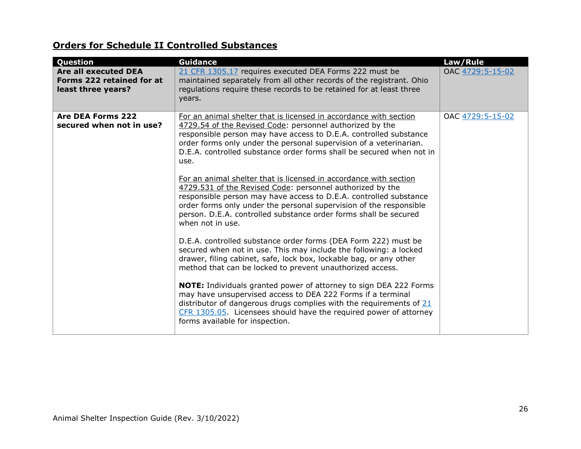# **Orders for Schedule II Controlled Substances**

| Question                                                                | <b>Guidance</b>                                                                                                                                                                                                                                                                                                                                                   | Law/Rule         |
|-------------------------------------------------------------------------|-------------------------------------------------------------------------------------------------------------------------------------------------------------------------------------------------------------------------------------------------------------------------------------------------------------------------------------------------------------------|------------------|
| Are all executed DEA<br>Forms 222 retained for at<br>least three years? | 21 CFR 1305.17 requires executed DEA Forms 222 must be<br>maintained separately from all other records of the registrant. Ohio<br>regulations require these records to be retained for at least three<br>years.                                                                                                                                                   | OAC 4729:5-15-02 |
| <b>Are DEA Forms 222</b><br>secured when not in use?                    | For an animal shelter that is licensed in accordance with section<br>4729.54 of the Revised Code: personnel authorized by the<br>responsible person may have access to D.E.A. controlled substance<br>order forms only under the personal supervision of a veterinarian.<br>D.E.A. controlled substance order forms shall be secured when not in<br>use.          | OAC 4729:5-15-02 |
|                                                                         | For an animal shelter that is licensed in accordance with section<br>4729.531 of the Revised Code: personnel authorized by the<br>responsible person may have access to D.E.A. controlled substance<br>order forms only under the personal supervision of the responsible<br>person. D.E.A. controlled substance order forms shall be secured<br>when not in use. |                  |
|                                                                         | D.E.A. controlled substance order forms (DEA Form 222) must be<br>secured when not in use. This may include the following: a locked<br>drawer, filing cabinet, safe, lock box, lockable bag, or any other<br>method that can be locked to prevent unauthorized access.                                                                                            |                  |
|                                                                         | NOTE: Individuals granted power of attorney to sign DEA 222 Forms<br>may have unsupervised access to DEA 222 Forms if a terminal<br>distributor of dangerous drugs complies with the requirements of $21$<br>CFR 1305.05. Licensees should have the required power of attorney<br>forms available for inspection.                                                 |                  |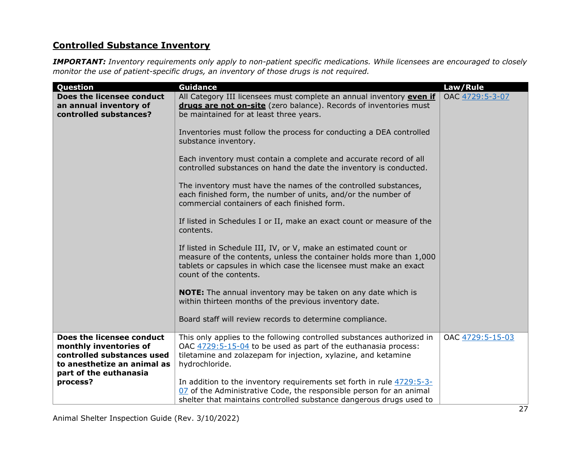# **Controlled Substance Inventory**

*IMPORTANT: Inventory requirements only apply to non-patient specific medications. While licensees are encouraged to closely monitor the use of patient-specific drugs, an inventory of those drugs is not required.* 

| Question                                                                                                                                   | <b>Guidance</b>                                                                                                                                                                                                                       | Law/Rule         |
|--------------------------------------------------------------------------------------------------------------------------------------------|---------------------------------------------------------------------------------------------------------------------------------------------------------------------------------------------------------------------------------------|------------------|
| Does the licensee conduct<br>an annual inventory of<br>controlled substances?                                                              | All Category III licensees must complete an annual inventory even if<br>drugs are not on-site (zero balance). Records of inventories must<br>be maintained for at least three years.                                                  | OAC 4729:5-3-07  |
|                                                                                                                                            | Inventories must follow the process for conducting a DEA controlled<br>substance inventory.                                                                                                                                           |                  |
|                                                                                                                                            | Each inventory must contain a complete and accurate record of all<br>controlled substances on hand the date the inventory is conducted.                                                                                               |                  |
|                                                                                                                                            | The inventory must have the names of the controlled substances,<br>each finished form, the number of units, and/or the number of<br>commercial containers of each finished form.                                                      |                  |
|                                                                                                                                            | If listed in Schedules I or II, make an exact count or measure of the<br>contents.                                                                                                                                                    |                  |
|                                                                                                                                            | If listed in Schedule III, IV, or V, make an estimated count or<br>measure of the contents, unless the container holds more than 1,000<br>tablets or capsules in which case the licensee must make an exact<br>count of the contents. |                  |
|                                                                                                                                            | NOTE: The annual inventory may be taken on any date which is<br>within thirteen months of the previous inventory date.                                                                                                                |                  |
|                                                                                                                                            | Board staff will review records to determine compliance.                                                                                                                                                                              |                  |
| Does the licensee conduct<br>monthly inventories of<br>controlled substances used<br>to anesthetize an animal as<br>part of the euthanasia | This only applies to the following controlled substances authorized in<br>OAC 4729:5-15-04 to be used as part of the euthanasia process:<br>tiletamine and zolazepam for injection, xylazine, and ketamine<br>hydrochloride.          | OAC 4729:5-15-03 |
| process?                                                                                                                                   | In addition to the inventory requirements set forth in rule 4729:5-3-<br>07 of the Administrative Code, the responsible person for an animal<br>shelter that maintains controlled substance dangerous drugs used to                   |                  |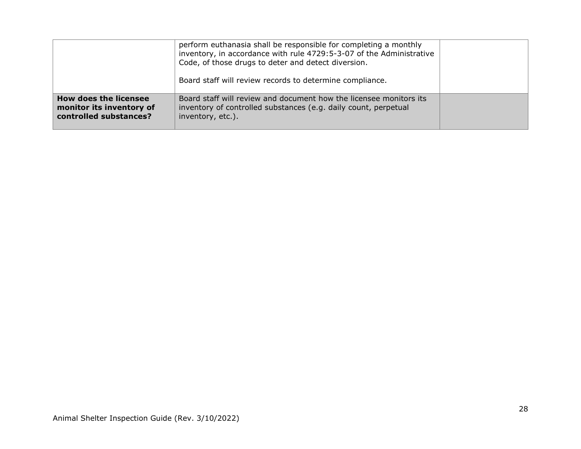|                                                                                    | perform euthanasia shall be responsible for completing a monthly<br>inventory, in accordance with rule 4729:5-3-07 of the Administrative<br>Code, of those drugs to deter and detect diversion.<br>Board staff will review records to determine compliance. |  |
|------------------------------------------------------------------------------------|-------------------------------------------------------------------------------------------------------------------------------------------------------------------------------------------------------------------------------------------------------------|--|
| <b>How does the licensee</b><br>monitor its inventory of<br>controlled substances? | Board staff will review and document how the licensee monitors its<br>inventory of controlled substances (e.g. daily count, perpetual<br>inventory, etc.).                                                                                                  |  |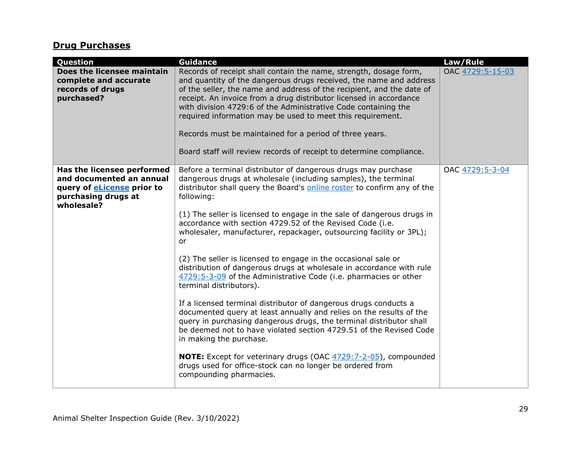# **Drug Purchases**

| Question                                                                                                                         | <b>Guidance</b>                                                                                                                                                                                                                                                                                                                                                                                                                                                                                                                                                                                                                                                                                                                                                                                                                                                                                                                                                                                                                                                                                                                                                            | Law/Rule         |
|----------------------------------------------------------------------------------------------------------------------------------|----------------------------------------------------------------------------------------------------------------------------------------------------------------------------------------------------------------------------------------------------------------------------------------------------------------------------------------------------------------------------------------------------------------------------------------------------------------------------------------------------------------------------------------------------------------------------------------------------------------------------------------------------------------------------------------------------------------------------------------------------------------------------------------------------------------------------------------------------------------------------------------------------------------------------------------------------------------------------------------------------------------------------------------------------------------------------------------------------------------------------------------------------------------------------|------------------|
| Does the licensee maintain<br>complete and accurate<br>records of drugs<br>purchased?                                            | Records of receipt shall contain the name, strength, dosage form,<br>and quantity of the dangerous drugs received, the name and address<br>of the seller, the name and address of the recipient, and the date of<br>receipt. An invoice from a drug distributor licensed in accordance<br>with division 4729:6 of the Administrative Code containing the<br>required information may be used to meet this requirement.<br>Records must be maintained for a period of three years.<br>Board staff will review records of receipt to determine compliance.                                                                                                                                                                                                                                                                                                                                                                                                                                                                                                                                                                                                                   | OAC 4729:5-15-03 |
| Has the licensee performed<br>and documented an annual<br>query of <b>eLicense</b> prior to<br>purchasing drugs at<br>wholesale? | Before a terminal distributor of dangerous drugs may purchase<br>dangerous drugs at wholesale (including samples), the terminal<br>distributor shall query the Board's online roster to confirm any of the<br>following:<br>(1) The seller is licensed to engage in the sale of dangerous drugs in<br>accordance with section 4729.52 of the Revised Code (i.e.<br>wholesaler, manufacturer, repackager, outsourcing facility or 3PL);<br>or<br>(2) The seller is licensed to engage in the occasional sale or<br>distribution of dangerous drugs at wholesale in accordance with rule<br>4729:5-3-09 of the Administrative Code (i.e. pharmacies or other<br>terminal distributors).<br>If a licensed terminal distributor of dangerous drugs conducts a<br>documented query at least annually and relies on the results of the<br>query in purchasing dangerous drugs, the terminal distributor shall<br>be deemed not to have violated section 4729.51 of the Revised Code<br>in making the purchase.<br><b>NOTE:</b> Except for veterinary drugs (OAC 4729:7-2-05), compounded<br>drugs used for office-stock can no longer be ordered from<br>compounding pharmacies. | OAC 4729:5-3-04  |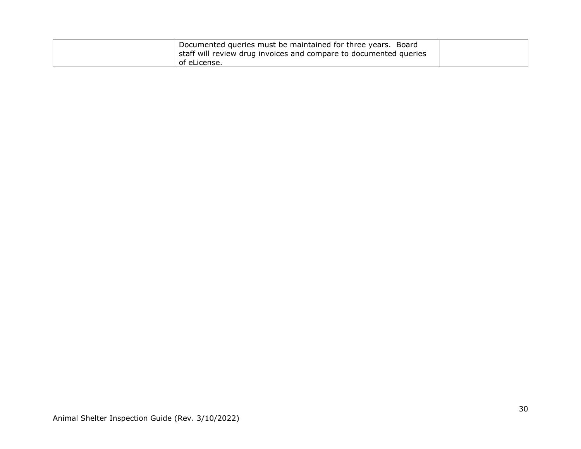| Documented queries must be maintained for three years. Board<br>staff will review drug invoices and compare to documented queries |  |
|-----------------------------------------------------------------------------------------------------------------------------------|--|
| of eLicense.                                                                                                                      |  |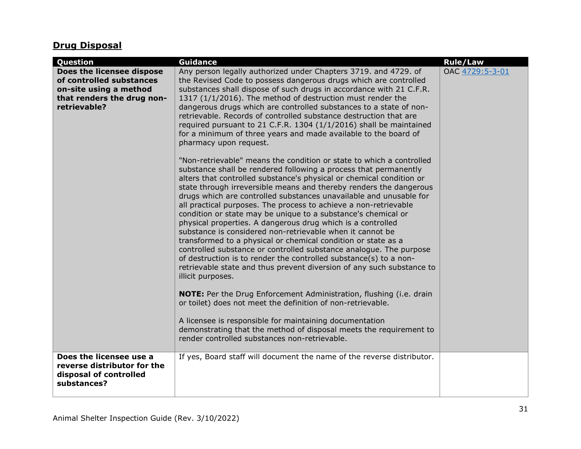# **Drug Disposal**

| Question                                                                                                                      | <b>Guidance</b>                                                                                                                                                                                                                                                                                                                                                                                                                                                                                                                                                                                                                                                                                                                                                                                                                                                                                                                                                                                                                                                                      | <b>Rule/Law</b> |
|-------------------------------------------------------------------------------------------------------------------------------|--------------------------------------------------------------------------------------------------------------------------------------------------------------------------------------------------------------------------------------------------------------------------------------------------------------------------------------------------------------------------------------------------------------------------------------------------------------------------------------------------------------------------------------------------------------------------------------------------------------------------------------------------------------------------------------------------------------------------------------------------------------------------------------------------------------------------------------------------------------------------------------------------------------------------------------------------------------------------------------------------------------------------------------------------------------------------------------|-----------------|
| Does the licensee dispose<br>of controlled substances<br>on-site using a method<br>that renders the drug non-<br>retrievable? | Any person legally authorized under Chapters 3719. and 4729. of<br>the Revised Code to possess dangerous drugs which are controlled<br>substances shall dispose of such drugs in accordance with 21 C.F.R.<br>1317 (1/1/2016). The method of destruction must render the<br>dangerous drugs which are controlled substances to a state of non-<br>retrievable. Records of controlled substance destruction that are<br>required pursuant to 21 C.F.R. 1304 (1/1/2016) shall be maintained<br>for a minimum of three years and made available to the board of<br>pharmacy upon request.                                                                                                                                                                                                                                                                                                                                                                                                                                                                                               | OAC 4729:5-3-01 |
|                                                                                                                               | "Non-retrievable" means the condition or state to which a controlled<br>substance shall be rendered following a process that permanently<br>alters that controlled substance's physical or chemical condition or<br>state through irreversible means and thereby renders the dangerous<br>drugs which are controlled substances unavailable and unusable for<br>all practical purposes. The process to achieve a non-retrievable<br>condition or state may be unique to a substance's chemical or<br>physical properties. A dangerous drug which is a controlled<br>substance is considered non-retrievable when it cannot be<br>transformed to a physical or chemical condition or state as a<br>controlled substance or controlled substance analogue. The purpose<br>of destruction is to render the controlled substance(s) to a non-<br>retrievable state and thus prevent diversion of any such substance to<br>illicit purposes.<br><b>NOTE:</b> Per the Drug Enforcement Administration, flushing (i.e. drain<br>or toilet) does not meet the definition of non-retrievable. |                 |
|                                                                                                                               | A licensee is responsible for maintaining documentation<br>demonstrating that the method of disposal meets the requirement to<br>render controlled substances non-retrievable.                                                                                                                                                                                                                                                                                                                                                                                                                                                                                                                                                                                                                                                                                                                                                                                                                                                                                                       |                 |
| Does the licensee use a<br>reverse distributor for the<br>disposal of controlled<br>substances?                               | If yes, Board staff will document the name of the reverse distributor.                                                                                                                                                                                                                                                                                                                                                                                                                                                                                                                                                                                                                                                                                                                                                                                                                                                                                                                                                                                                               |                 |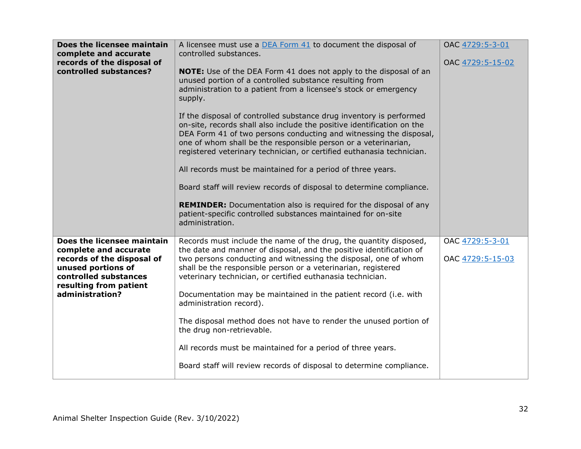| Does the licensee maintain<br>complete and accurate<br>records of the disposal of<br>controlled substances?                                                                   | A licensee must use a DEA Form 41 to document the disposal of<br>controlled substances.<br><b>NOTE:</b> Use of the DEA Form 41 does not apply to the disposal of an<br>unused portion of a controlled substance resulting from<br>administration to a patient from a licensee's stock or emergency<br>supply.<br>If the disposal of controlled substance drug inventory is performed<br>on-site, records shall also include the positive identification on the<br>DEA Form 41 of two persons conducting and witnessing the disposal,<br>one of whom shall be the responsible person or a veterinarian,<br>registered veterinary technician, or certified euthanasia technician.<br>All records must be maintained for a period of three years.<br>Board staff will review records of disposal to determine compliance.<br><b>REMINDER:</b> Documentation also is required for the disposal of any<br>patient-specific controlled substances maintained for on-site<br>administration. | OAC 4729:5-3-01<br>OAC 4729:5-15-02 |
|-------------------------------------------------------------------------------------------------------------------------------------------------------------------------------|---------------------------------------------------------------------------------------------------------------------------------------------------------------------------------------------------------------------------------------------------------------------------------------------------------------------------------------------------------------------------------------------------------------------------------------------------------------------------------------------------------------------------------------------------------------------------------------------------------------------------------------------------------------------------------------------------------------------------------------------------------------------------------------------------------------------------------------------------------------------------------------------------------------------------------------------------------------------------------------|-------------------------------------|
| Does the licensee maintain<br>complete and accurate<br>records of the disposal of<br>unused portions of<br>controlled substances<br>resulting from patient<br>administration? | Records must include the name of the drug, the quantity disposed,<br>the date and manner of disposal, and the positive identification of<br>two persons conducting and witnessing the disposal, one of whom<br>shall be the responsible person or a veterinarian, registered<br>veterinary technician, or certified euthanasia technician.<br>Documentation may be maintained in the patient record (i.e. with<br>administration record).<br>The disposal method does not have to render the unused portion of<br>the drug non-retrievable.<br>All records must be maintained for a period of three years.<br>Board staff will review records of disposal to determine compliance.                                                                                                                                                                                                                                                                                                    | OAC 4729:5-3-01<br>OAC 4729:5-15-03 |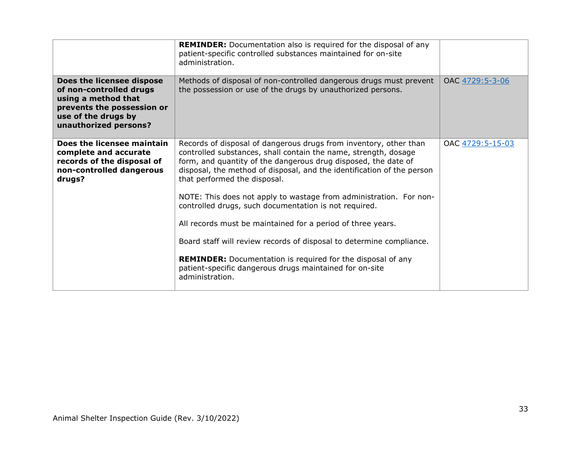|                                                                                                                                                           | <b>REMINDER:</b> Documentation also is required for the disposal of any<br>patient-specific controlled substances maintained for on-site<br>administration.                                                                                                                                                                                                                                                                                                                                                                                                                                                                                                                                                                                |                  |
|-----------------------------------------------------------------------------------------------------------------------------------------------------------|--------------------------------------------------------------------------------------------------------------------------------------------------------------------------------------------------------------------------------------------------------------------------------------------------------------------------------------------------------------------------------------------------------------------------------------------------------------------------------------------------------------------------------------------------------------------------------------------------------------------------------------------------------------------------------------------------------------------------------------------|------------------|
| Does the licensee dispose<br>of non-controlled drugs<br>using a method that<br>prevents the possession or<br>use of the drugs by<br>unauthorized persons? | Methods of disposal of non-controlled dangerous drugs must prevent<br>the possession or use of the drugs by unauthorized persons.                                                                                                                                                                                                                                                                                                                                                                                                                                                                                                                                                                                                          | OAC 4729:5-3-06  |
| Does the licensee maintain<br>complete and accurate<br>records of the disposal of<br>non-controlled dangerous<br>drugs?                                   | Records of disposal of dangerous drugs from inventory, other than<br>controlled substances, shall contain the name, strength, dosage<br>form, and quantity of the dangerous drug disposed, the date of<br>disposal, the method of disposal, and the identification of the person<br>that performed the disposal.<br>NOTE: This does not apply to wastage from administration. For non-<br>controlled drugs, such documentation is not required.<br>All records must be maintained for a period of three years.<br>Board staff will review records of disposal to determine compliance.<br><b>REMINDER:</b> Documentation is required for the disposal of any<br>patient-specific dangerous drugs maintained for on-site<br>administration. | OAC 4729:5-15-03 |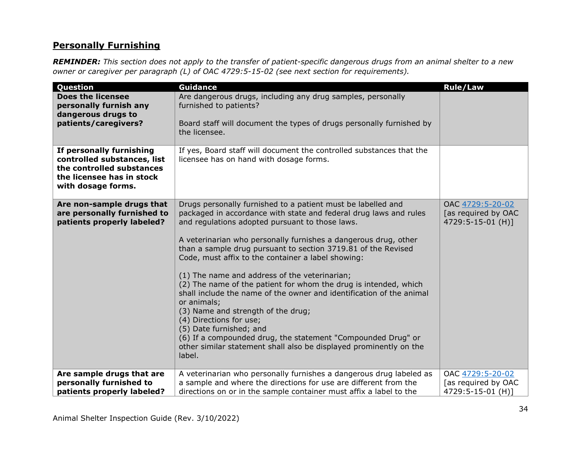### **Personally Furnishing**

*REMINDER: This section does not apply to the transfer of patient-specific dangerous drugs from an animal shelter to a new owner or caregiver per paragraph (L) of OAC 4729:5-15-02 (see next section for requirements).*

| Question                                                                                                                                | <b>Guidance</b>                                                                                                                                                                                                                                                                                                                                                                                                                                                                                                                                                                                                                                                                                                                                                                                                                        | Rule/Law                                                     |
|-----------------------------------------------------------------------------------------------------------------------------------------|----------------------------------------------------------------------------------------------------------------------------------------------------------------------------------------------------------------------------------------------------------------------------------------------------------------------------------------------------------------------------------------------------------------------------------------------------------------------------------------------------------------------------------------------------------------------------------------------------------------------------------------------------------------------------------------------------------------------------------------------------------------------------------------------------------------------------------------|--------------------------------------------------------------|
| <b>Does the licensee</b><br>personally furnish any<br>dangerous drugs to<br>patients/caregivers?                                        | Are dangerous drugs, including any drug samples, personally<br>furnished to patients?<br>Board staff will document the types of drugs personally furnished by<br>the licensee.                                                                                                                                                                                                                                                                                                                                                                                                                                                                                                                                                                                                                                                         |                                                              |
| If personally furnishing<br>controlled substances, list<br>the controlled substances<br>the licensee has in stock<br>with dosage forms. | If yes, Board staff will document the controlled substances that the<br>licensee has on hand with dosage forms.                                                                                                                                                                                                                                                                                                                                                                                                                                                                                                                                                                                                                                                                                                                        |                                                              |
| Are non-sample drugs that<br>are personally furnished to<br>patients properly labeled?                                                  | Drugs personally furnished to a patient must be labelled and<br>packaged in accordance with state and federal drug laws and rules<br>and regulations adopted pursuant to those laws.<br>A veterinarian who personally furnishes a dangerous drug, other<br>than a sample drug pursuant to section 3719.81 of the Revised<br>Code, must affix to the container a label showing:<br>(1) The name and address of the veterinarian;<br>(2) The name of the patient for whom the drug is intended, which<br>shall include the name of the owner and identification of the animal<br>or animals;<br>(3) Name and strength of the drug;<br>(4) Directions for use;<br>(5) Date furnished; and<br>(6) If a compounded drug, the statement "Compounded Drug" or<br>other similar statement shall also be displayed prominently on the<br>label. | OAC 4729:5-20-02<br>[as required by OAC<br>4729:5-15-01 (H)] |
| Are sample drugs that are<br>personally furnished to<br>patients properly labeled?                                                      | A veterinarian who personally furnishes a dangerous drug labeled as<br>a sample and where the directions for use are different from the<br>directions on or in the sample container must affix a label to the                                                                                                                                                                                                                                                                                                                                                                                                                                                                                                                                                                                                                          | OAC 4729:5-20-02<br>[as required by OAC<br>4729:5-15-01 (H)] |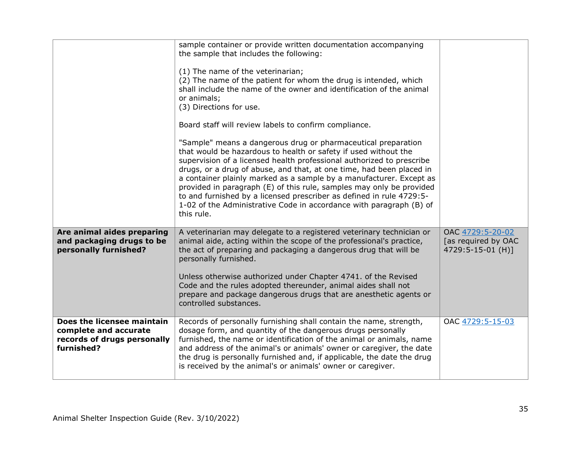|                                                                                                  | sample container or provide written documentation accompanying<br>the sample that includes the following:<br>(1) The name of the veterinarian;<br>(2) The name of the patient for whom the drug is intended, which<br>shall include the name of the owner and identification of the animal<br>or animals;<br>(3) Directions for use.<br>Board staff will review labels to confirm compliance.<br>"Sample" means a dangerous drug or pharmaceutical preparation<br>that would be hazardous to health or safety if used without the<br>supervision of a licensed health professional authorized to prescribe<br>drugs, or a drug of abuse, and that, at one time, had been placed in<br>a container plainly marked as a sample by a manufacturer. Except as<br>provided in paragraph (E) of this rule, samples may only be provided<br>to and furnished by a licensed prescriber as defined in rule 4729:5-<br>1-02 of the Administrative Code in accordance with paragraph (B) of<br>this rule. |                                                              |
|--------------------------------------------------------------------------------------------------|------------------------------------------------------------------------------------------------------------------------------------------------------------------------------------------------------------------------------------------------------------------------------------------------------------------------------------------------------------------------------------------------------------------------------------------------------------------------------------------------------------------------------------------------------------------------------------------------------------------------------------------------------------------------------------------------------------------------------------------------------------------------------------------------------------------------------------------------------------------------------------------------------------------------------------------------------------------------------------------------|--------------------------------------------------------------|
| Are animal aides preparing<br>and packaging drugs to be<br>personally furnished?                 | A veterinarian may delegate to a registered veterinary technician or<br>animal aide, acting within the scope of the professional's practice,<br>the act of preparing and packaging a dangerous drug that will be<br>personally furnished.<br>Unless otherwise authorized under Chapter 4741. of the Revised<br>Code and the rules adopted thereunder, animal aides shall not<br>prepare and package dangerous drugs that are anesthetic agents or<br>controlled substances.                                                                                                                                                                                                                                                                                                                                                                                                                                                                                                                    | OAC 4729:5-20-02<br>[as required by OAC<br>4729:5-15-01 (H)] |
| Does the licensee maintain<br>complete and accurate<br>records of drugs personally<br>furnished? | Records of personally furnishing shall contain the name, strength,<br>dosage form, and quantity of the dangerous drugs personally<br>furnished, the name or identification of the animal or animals, name<br>and address of the animal's or animals' owner or caregiver, the date<br>the drug is personally furnished and, if applicable, the date the drug<br>is received by the animal's or animals' owner or caregiver.                                                                                                                                                                                                                                                                                                                                                                                                                                                                                                                                                                     | OAC 4729:5-15-03                                             |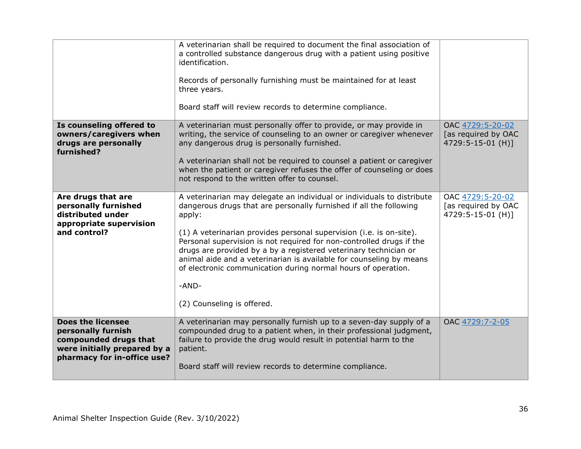|                                                                                                                                        | A veterinarian shall be required to document the final association of<br>a controlled substance dangerous drug with a patient using positive<br>identification.<br>Records of personally furnishing must be maintained for at least<br>three years.<br>Board staff will review records to determine compliance.                                                                                                                                                                                                                                          |                                                              |
|----------------------------------------------------------------------------------------------------------------------------------------|----------------------------------------------------------------------------------------------------------------------------------------------------------------------------------------------------------------------------------------------------------------------------------------------------------------------------------------------------------------------------------------------------------------------------------------------------------------------------------------------------------------------------------------------------------|--------------------------------------------------------------|
| Is counseling offered to<br>owners/caregivers when<br>drugs are personally<br>furnished?                                               | A veterinarian must personally offer to provide, or may provide in<br>writing, the service of counseling to an owner or caregiver whenever<br>any dangerous drug is personally furnished.<br>A veterinarian shall not be required to counsel a patient or caregiver<br>when the patient or caregiver refuses the offer of counseling or does<br>not respond to the written offer to counsel.                                                                                                                                                             | OAC 4729:5-20-02<br>[as required by OAC<br>4729:5-15-01 (H)] |
| Are drugs that are<br>personally furnished<br>distributed under<br>appropriate supervision<br>and control?                             | A veterinarian may delegate an individual or individuals to distribute<br>dangerous drugs that are personally furnished if all the following<br>apply:<br>(1) A veterinarian provides personal supervision (i.e. is on-site).<br>Personal supervision is not required for non-controlled drugs if the<br>drugs are provided by a by a registered veterinary technician or<br>animal aide and a veterinarian is available for counseling by means<br>of electronic communication during normal hours of operation.<br>-AND-<br>(2) Counseling is offered. | OAC 4729:5-20-02<br>[as required by OAC<br>4729:5-15-01 (H)] |
| <b>Does the licensee</b><br>personally furnish<br>compounded drugs that<br>were initially prepared by a<br>pharmacy for in-office use? | A veterinarian may personally furnish up to a seven-day supply of a<br>compounded drug to a patient when, in their professional judgment,<br>failure to provide the drug would result in potential harm to the<br>patient.<br>Board staff will review records to determine compliance.                                                                                                                                                                                                                                                                   | OAC 4729:7-2-05                                              |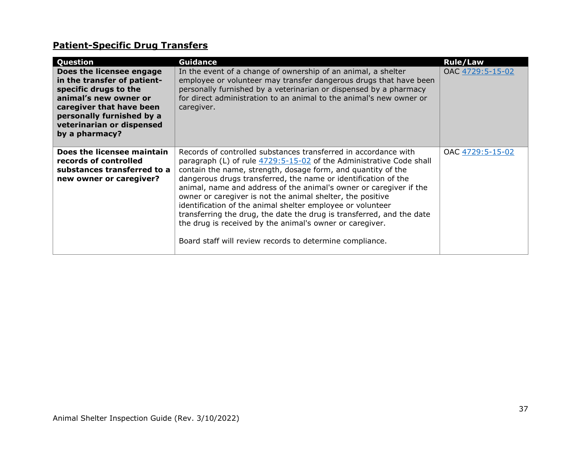# **Patient-Specific Drug Transfers**

| Question                                                                                                                                                                                                          | <b>Guidance</b>                                                                                                                                                                                                                                                                                                                                                                                                                                                                                                                                                                                                                                                             | <b>Rule/Law</b>  |
|-------------------------------------------------------------------------------------------------------------------------------------------------------------------------------------------------------------------|-----------------------------------------------------------------------------------------------------------------------------------------------------------------------------------------------------------------------------------------------------------------------------------------------------------------------------------------------------------------------------------------------------------------------------------------------------------------------------------------------------------------------------------------------------------------------------------------------------------------------------------------------------------------------------|------------------|
| Does the licensee engage<br>in the transfer of patient-<br>specific drugs to the<br>animal's new owner or<br>caregiver that have been<br>personally furnished by a<br>veterinarian or dispensed<br>by a pharmacy? | In the event of a change of ownership of an animal, a shelter<br>employee or volunteer may transfer dangerous drugs that have been<br>personally furnished by a veterinarian or dispensed by a pharmacy<br>for direct administration to an animal to the animal's new owner or<br>caregiver.                                                                                                                                                                                                                                                                                                                                                                                | OAC 4729:5-15-02 |
| Does the licensee maintain<br>records of controlled<br>substances transferred to a<br>new owner or caregiver?                                                                                                     | Records of controlled substances transferred in accordance with<br>paragraph (L) of rule 4729:5-15-02 of the Administrative Code shall<br>contain the name, strength, dosage form, and quantity of the<br>dangerous drugs transferred, the name or identification of the<br>animal, name and address of the animal's owner or caregiver if the<br>owner or caregiver is not the animal shelter, the positive<br>identification of the animal shelter employee or volunteer<br>transferring the drug, the date the drug is transferred, and the date<br>the drug is received by the animal's owner or caregiver.<br>Board staff will review records to determine compliance. | OAC 4729:5-15-02 |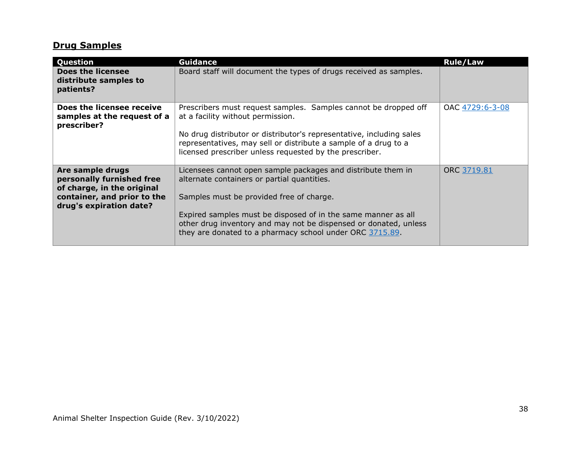# **Drug Samples**

| Question                                                                                                                              | <b>Guidance</b>                                                                                                                                                                                                                                                                                                                                          | <b>Rule/Law</b> |
|---------------------------------------------------------------------------------------------------------------------------------------|----------------------------------------------------------------------------------------------------------------------------------------------------------------------------------------------------------------------------------------------------------------------------------------------------------------------------------------------------------|-----------------|
| <b>Does the licensee</b><br>distribute samples to<br>patients?                                                                        | Board staff will document the types of drugs received as samples.                                                                                                                                                                                                                                                                                        |                 |
| Does the licensee receive<br>samples at the request of a<br>prescriber?                                                               | Prescribers must request samples. Samples cannot be dropped off<br>at a facility without permission.<br>No drug distributor or distributor's representative, including sales<br>representatives, may sell or distribute a sample of a drug to a<br>licensed prescriber unless requested by the prescriber.                                               | OAC 4729:6-3-08 |
| Are sample drugs<br>personally furnished free<br>of charge, in the original<br>container, and prior to the<br>drug's expiration date? | Licensees cannot open sample packages and distribute them in<br>alternate containers or partial quantities.<br>Samples must be provided free of charge.<br>Expired samples must be disposed of in the same manner as all<br>other drug inventory and may not be dispensed or donated, unless<br>they are donated to a pharmacy school under ORC 3715.89. | ORC 3719.81     |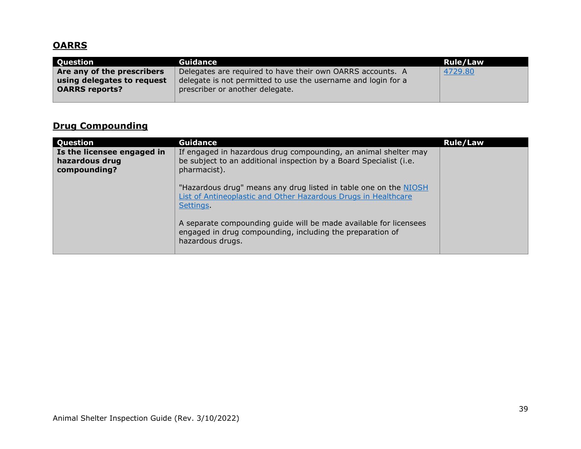# **OARRS**

| Question                   | Guidance                                                      | Rule/Law |
|----------------------------|---------------------------------------------------------------|----------|
| Are any of the prescribers | Delegates are required to have their own OARRS accounts. A    | 4729.80  |
| using delegates to request | delegate is not permitted to use the username and login for a |          |
| <b>OARRS reports?</b>      | prescriber or another delegate.                               |          |
|                            |                                                               |          |

# **Drug Compounding**

| Question                                                     | <b>Guidance</b>                                                                                                                                       | <b>Rule/Law</b> |
|--------------------------------------------------------------|-------------------------------------------------------------------------------------------------------------------------------------------------------|-----------------|
| Is the licensee engaged in<br>hazardous drug<br>compounding? | If engaged in hazardous drug compounding, an animal shelter may<br>be subject to an additional inspection by a Board Specialist (i.e.<br>pharmacist). |                 |
|                                                              | "Hazardous drug" means any drug listed in table one on the NIOSH<br>List of Antineoplastic and Other Hazardous Drugs in Healthcare<br>Settings.       |                 |
|                                                              | A separate compounding guide will be made available for licensees<br>engaged in drug compounding, including the preparation of<br>hazardous drugs.    |                 |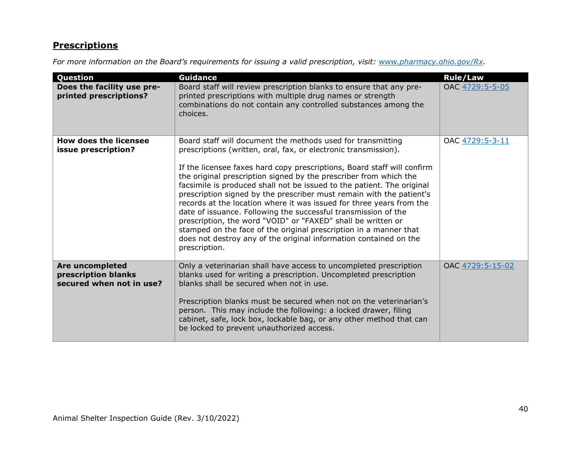# **Prescriptions**

*For more information on the Board's requirements for issuing a valid prescription, visit: [www.pharmacy.ohio.gov/Rx.](http://www.pharmacy.ohio.gov/Rx)* 

| Question                                                           | <b>Guidance</b>                                                                                                                                                                                                                                                                                                                                                                                                                                                                                                                                                                                                                                                                                                                                                                                       | <b>Rule/Law</b>  |
|--------------------------------------------------------------------|-------------------------------------------------------------------------------------------------------------------------------------------------------------------------------------------------------------------------------------------------------------------------------------------------------------------------------------------------------------------------------------------------------------------------------------------------------------------------------------------------------------------------------------------------------------------------------------------------------------------------------------------------------------------------------------------------------------------------------------------------------------------------------------------------------|------------------|
| Does the facility use pre-<br>printed prescriptions?               | Board staff will review prescription blanks to ensure that any pre-<br>printed prescriptions with multiple drug names or strength<br>combinations do not contain any controlled substances among the<br>choices.                                                                                                                                                                                                                                                                                                                                                                                                                                                                                                                                                                                      | OAC 4729:5-5-05  |
| <b>How does the licensee</b><br>issue prescription?                | Board staff will document the methods used for transmitting<br>prescriptions (written, oral, fax, or electronic transmission).<br>If the licensee faxes hard copy prescriptions, Board staff will confirm<br>the original prescription signed by the prescriber from which the<br>facsimile is produced shall not be issued to the patient. The original<br>prescription signed by the prescriber must remain with the patient's<br>records at the location where it was issued for three years from the<br>date of issuance. Following the successful transmission of the<br>prescription, the word "VOID" or "FAXED" shall be written or<br>stamped on the face of the original prescription in a manner that<br>does not destroy any of the original information contained on the<br>prescription. | OAC 4729:5-3-11  |
| Are uncompleted<br>prescription blanks<br>secured when not in use? | Only a veterinarian shall have access to uncompleted prescription<br>blanks used for writing a prescription. Uncompleted prescription<br>blanks shall be secured when not in use.<br>Prescription blanks must be secured when not on the veterinarian's<br>person. This may include the following: a locked drawer, filing<br>cabinet, safe, lock box, lockable bag, or any other method that can<br>be locked to prevent unauthorized access.                                                                                                                                                                                                                                                                                                                                                        | OAC 4729:5-15-02 |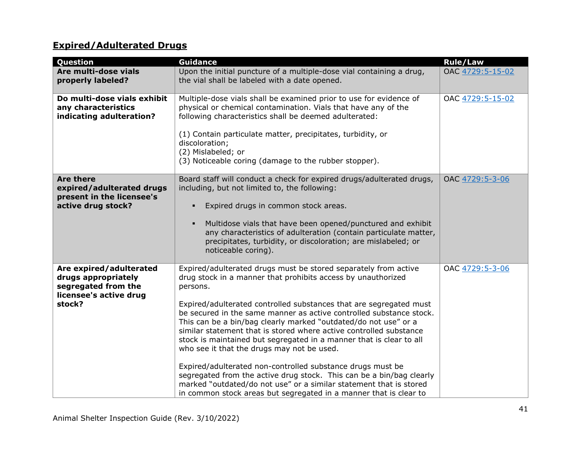# **Expired/Adulterated Drugs**

| Question                                                                                                  | <b>Guidance</b>                                                                                                                                                                                                                                                                                                                                                                                                                                                                                                                                                                                                                                                                                                                                                                                                                         | <b>Rule/Law</b>  |
|-----------------------------------------------------------------------------------------------------------|-----------------------------------------------------------------------------------------------------------------------------------------------------------------------------------------------------------------------------------------------------------------------------------------------------------------------------------------------------------------------------------------------------------------------------------------------------------------------------------------------------------------------------------------------------------------------------------------------------------------------------------------------------------------------------------------------------------------------------------------------------------------------------------------------------------------------------------------|------------------|
| Are multi-dose vials<br>properly labeled?                                                                 | Upon the initial puncture of a multiple-dose vial containing a drug,<br>the vial shall be labeled with a date opened.                                                                                                                                                                                                                                                                                                                                                                                                                                                                                                                                                                                                                                                                                                                   | OAC 4729:5-15-02 |
| Do multi-dose vials exhibit<br>any characteristics<br>indicating adulteration?                            | Multiple-dose vials shall be examined prior to use for evidence of<br>physical or chemical contamination. Vials that have any of the<br>following characteristics shall be deemed adulterated:<br>(1) Contain particulate matter, precipitates, turbidity, or<br>discoloration;<br>(2) Mislabeled; or<br>(3) Noticeable coring (damage to the rubber stopper).                                                                                                                                                                                                                                                                                                                                                                                                                                                                          | OAC 4729:5-15-02 |
| <b>Are there</b><br>expired/adulterated drugs<br>present in the licensee's<br>active drug stock?          | Board staff will conduct a check for expired drugs/adulterated drugs,<br>including, but not limited to, the following:<br>Expired drugs in common stock areas.<br>Multidose vials that have been opened/punctured and exhibit<br>$\blacksquare$<br>any characteristics of adulteration (contain particulate matter,<br>precipitates, turbidity, or discoloration; are mislabeled; or<br>noticeable coring).                                                                                                                                                                                                                                                                                                                                                                                                                             | OAC 4729:5-3-06  |
| Are expired/adulterated<br>drugs appropriately<br>segregated from the<br>licensee's active drug<br>stock? | Expired/adulterated drugs must be stored separately from active<br>drug stock in a manner that prohibits access by unauthorized<br>persons.<br>Expired/adulterated controlled substances that are segregated must<br>be secured in the same manner as active controlled substance stock.<br>This can be a bin/bag clearly marked "outdated/do not use" or a<br>similar statement that is stored where active controlled substance<br>stock is maintained but segregated in a manner that is clear to all<br>who see it that the drugs may not be used.<br>Expired/adulterated non-controlled substance drugs must be<br>segregated from the active drug stock. This can be a bin/bag clearly<br>marked "outdated/do not use" or a similar statement that is stored<br>in common stock areas but segregated in a manner that is clear to | OAC 4729:5-3-06  |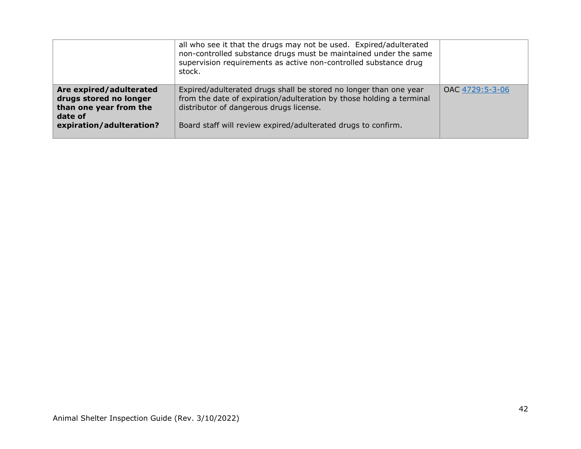|                                                                                                                    | all who see it that the drugs may not be used. Expired/adulterated<br>non-controlled substance drugs must be maintained under the same<br>supervision requirements as active non-controlled substance drug<br>stock.                                  |                 |
|--------------------------------------------------------------------------------------------------------------------|-------------------------------------------------------------------------------------------------------------------------------------------------------------------------------------------------------------------------------------------------------|-----------------|
| Are expired/adulterated<br>drugs stored no longer<br>than one year from the<br>date of<br>expiration/adulteration? | Expired/adulterated drugs shall be stored no longer than one year<br>from the date of expiration/adulteration by those holding a terminal<br>distributor of dangerous drugs license.<br>Board staff will review expired/adulterated drugs to confirm. | OAC 4729:5-3-06 |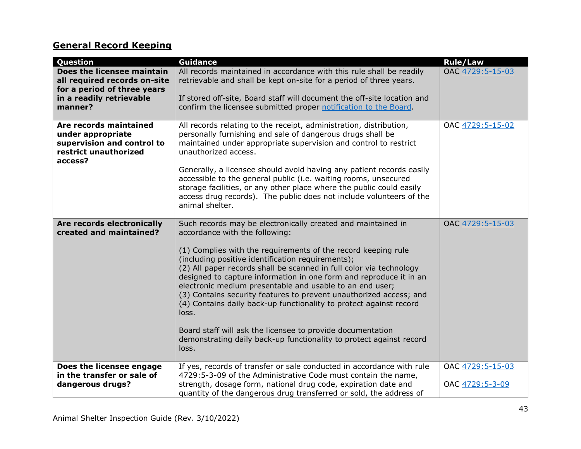# **General Record Keeping**

| Question                                                                                                      | <b>Guidance</b>                                                                                                                                                                                                                                                                                                                                                                                                                                                                                                                                                                                                                                                                                                                  | <b>Rule/Law</b>                     |
|---------------------------------------------------------------------------------------------------------------|----------------------------------------------------------------------------------------------------------------------------------------------------------------------------------------------------------------------------------------------------------------------------------------------------------------------------------------------------------------------------------------------------------------------------------------------------------------------------------------------------------------------------------------------------------------------------------------------------------------------------------------------------------------------------------------------------------------------------------|-------------------------------------|
| Does the licensee maintain<br>all required records on-site<br>for a period of three years                     | All records maintained in accordance with this rule shall be readily<br>retrievable and shall be kept on-site for a period of three years.                                                                                                                                                                                                                                                                                                                                                                                                                                                                                                                                                                                       | OAC 4729:5-15-03                    |
| in a readily retrievable<br>manner?                                                                           | If stored off-site, Board staff will document the off-site location and<br>confirm the licensee submitted proper notification to the Board.                                                                                                                                                                                                                                                                                                                                                                                                                                                                                                                                                                                      |                                     |
| Are records maintained<br>under appropriate<br>supervision and control to<br>restrict unauthorized<br>access? | All records relating to the receipt, administration, distribution,<br>personally furnishing and sale of dangerous drugs shall be<br>maintained under appropriate supervision and control to restrict<br>unauthorized access.<br>Generally, a licensee should avoid having any patient records easily<br>accessible to the general public (i.e. waiting rooms, unsecured<br>storage facilities, or any other place where the public could easily<br>access drug records). The public does not include volunteers of the<br>animal shelter.                                                                                                                                                                                        | OAC 4729:5-15-02                    |
| Are records electronically<br>created and maintained?                                                         | Such records may be electronically created and maintained in<br>accordance with the following:<br>(1) Complies with the requirements of the record keeping rule<br>(including positive identification requirements);<br>(2) All paper records shall be scanned in full color via technology<br>designed to capture information in one form and reproduce it in an<br>electronic medium presentable and usable to an end user;<br>(3) Contains security features to prevent unauthorized access; and<br>(4) Contains daily back-up functionality to protect against record<br>loss.<br>Board staff will ask the licensee to provide documentation<br>demonstrating daily back-up functionality to protect against record<br>loss. | OAC 4729:5-15-03                    |
| Does the licensee engage<br>in the transfer or sale of<br>dangerous drugs?                                    | If yes, records of transfer or sale conducted in accordance with rule<br>4729:5-3-09 of the Administrative Code must contain the name,<br>strength, dosage form, national drug code, expiration date and<br>quantity of the dangerous drug transferred or sold, the address of                                                                                                                                                                                                                                                                                                                                                                                                                                                   | OAC 4729:5-15-03<br>OAC 4729:5-3-09 |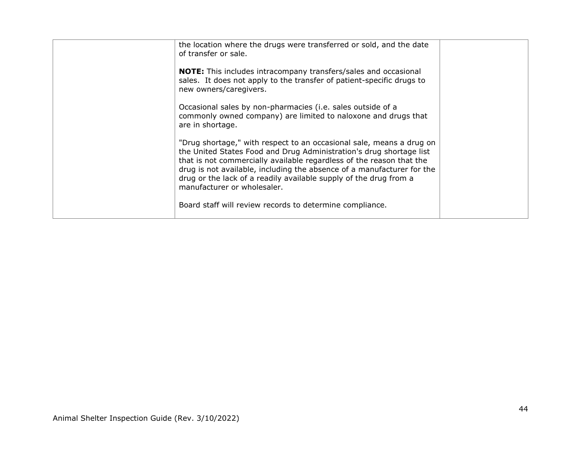| the location where the drugs were transferred or sold, and the date<br>of transfer or sale.                                                                                                                                                                                                                                                                                                       |  |
|---------------------------------------------------------------------------------------------------------------------------------------------------------------------------------------------------------------------------------------------------------------------------------------------------------------------------------------------------------------------------------------------------|--|
| <b>NOTE:</b> This includes intracompany transfers/sales and occasional<br>sales. It does not apply to the transfer of patient-specific drugs to<br>new owners/caregivers.                                                                                                                                                                                                                         |  |
| Occasional sales by non-pharmacies (i.e. sales outside of a<br>commonly owned company) are limited to naloxone and drugs that<br>are in shortage.                                                                                                                                                                                                                                                 |  |
| "Drug shortage," with respect to an occasional sale, means a drug on<br>the United States Food and Drug Administration's drug shortage list<br>that is not commercially available regardless of the reason that the<br>drug is not available, including the absence of a manufacturer for the<br>drug or the lack of a readily available supply of the drug from a<br>manufacturer or wholesaler. |  |
| Board staff will review records to determine compliance.                                                                                                                                                                                                                                                                                                                                          |  |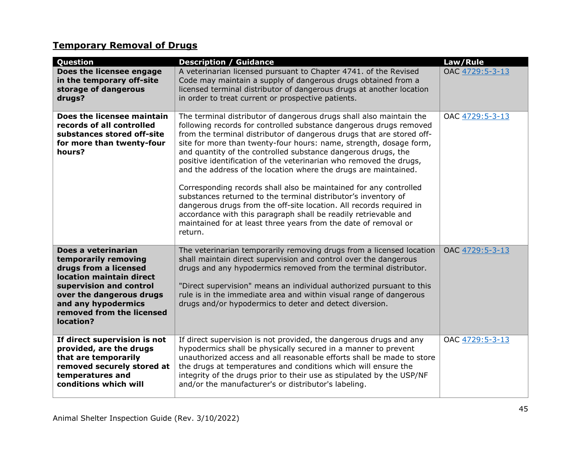# **Temporary Removal of Drugs**

| Question                                                                                                                                                                                                                 | <b>Description / Guidance</b>                                                                                                                                                                                                                                                                                                                                                                                                                                                                                                                                                                                                                                                                                                                                                                                                                                     | Law/Rule        |
|--------------------------------------------------------------------------------------------------------------------------------------------------------------------------------------------------------------------------|-------------------------------------------------------------------------------------------------------------------------------------------------------------------------------------------------------------------------------------------------------------------------------------------------------------------------------------------------------------------------------------------------------------------------------------------------------------------------------------------------------------------------------------------------------------------------------------------------------------------------------------------------------------------------------------------------------------------------------------------------------------------------------------------------------------------------------------------------------------------|-----------------|
| Does the licensee engage<br>in the temporary off-site<br>storage of dangerous<br>drugs?                                                                                                                                  | A veterinarian licensed pursuant to Chapter 4741. of the Revised<br>Code may maintain a supply of dangerous drugs obtained from a<br>licensed terminal distributor of dangerous drugs at another location<br>in order to treat current or prospective patients.                                                                                                                                                                                                                                                                                                                                                                                                                                                                                                                                                                                                   | OAC 4729:5-3-13 |
| Does the licensee maintain<br>records of all controlled<br>substances stored off-site<br>for more than twenty-four<br>hours?                                                                                             | The terminal distributor of dangerous drugs shall also maintain the<br>following records for controlled substance dangerous drugs removed<br>from the terminal distributor of dangerous drugs that are stored off-<br>site for more than twenty-four hours: name, strength, dosage form,<br>and quantity of the controlled substance dangerous drugs, the<br>positive identification of the veterinarian who removed the drugs,<br>and the address of the location where the drugs are maintained.<br>Corresponding records shall also be maintained for any controlled<br>substances returned to the terminal distributor's inventory of<br>dangerous drugs from the off-site location. All records required in<br>accordance with this paragraph shall be readily retrievable and<br>maintained for at least three years from the date of removal or<br>return. | OAC 4729:5-3-13 |
| Does a veterinarian<br>temporarily removing<br>drugs from a licensed<br>location maintain direct<br>supervision and control<br>over the dangerous drugs<br>and any hypodermics<br>removed from the licensed<br>location? | The veterinarian temporarily removing drugs from a licensed location<br>shall maintain direct supervision and control over the dangerous<br>drugs and any hypodermics removed from the terminal distributor.<br>"Direct supervision" means an individual authorized pursuant to this<br>rule is in the immediate area and within visual range of dangerous<br>drugs and/or hypodermics to deter and detect diversion.                                                                                                                                                                                                                                                                                                                                                                                                                                             | OAC 4729:5-3-13 |
| If direct supervision is not<br>provided, are the drugs<br>that are temporarily<br>removed securely stored at<br>temperatures and<br>conditions which will                                                               | If direct supervision is not provided, the dangerous drugs and any<br>hypodermics shall be physically secured in a manner to prevent<br>unauthorized access and all reasonable efforts shall be made to store<br>the drugs at temperatures and conditions which will ensure the<br>integrity of the drugs prior to their use as stipulated by the USP/NF<br>and/or the manufacturer's or distributor's labeling.                                                                                                                                                                                                                                                                                                                                                                                                                                                  | OAC 4729:5-3-13 |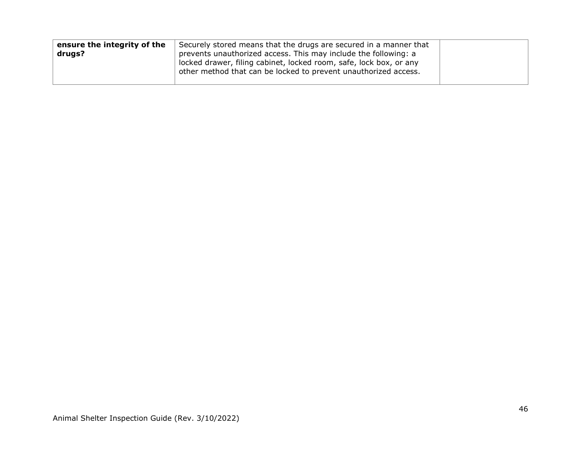| ensure the integrity of the | Securely stored means that the drugs are secured in a manner that                                                                     |  |
|-----------------------------|---------------------------------------------------------------------------------------------------------------------------------------|--|
| drugs?                      | prevents unauthorized access. This may include the following: a                                                                       |  |
|                             | locked drawer, filing cabinet, locked room, safe, lock box, or any<br>other method that can be locked to prevent unauthorized access. |  |
|                             |                                                                                                                                       |  |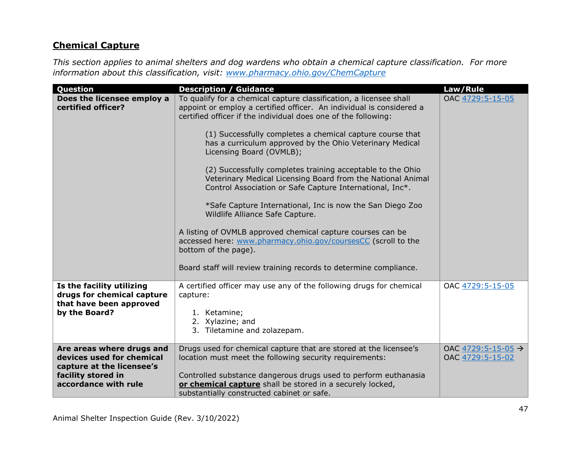### **Chemical Capture**

*This section applies to animal shelters and dog wardens who obtain a chemical capture classification. For more information about this classification, visit: [www.pharmacy.ohio.gov/ChemCapture](http://www.pharmacy.ohio.gov/ChemCapture)*

| Question                                                                                                                          | <b>Description / Guidance</b>                                                                                                                                                                                                                                                                                                                                                                                                                                                                                                                                                                                                                                                                                                                                                                                                                                                           | Law/Rule                                           |
|-----------------------------------------------------------------------------------------------------------------------------------|-----------------------------------------------------------------------------------------------------------------------------------------------------------------------------------------------------------------------------------------------------------------------------------------------------------------------------------------------------------------------------------------------------------------------------------------------------------------------------------------------------------------------------------------------------------------------------------------------------------------------------------------------------------------------------------------------------------------------------------------------------------------------------------------------------------------------------------------------------------------------------------------|----------------------------------------------------|
| Does the licensee employ a<br>certified officer?                                                                                  | To qualify for a chemical capture classification, a licensee shall<br>appoint or employ a certified officer. An individual is considered a<br>certified officer if the individual does one of the following:<br>(1) Successfully completes a chemical capture course that<br>has a curriculum approved by the Ohio Veterinary Medical<br>Licensing Board (OVMLB);<br>(2) Successfully completes training acceptable to the Ohio<br>Veterinary Medical Licensing Board from the National Animal<br>Control Association or Safe Capture International, Inc*.<br>*Safe Capture International, Inc is now the San Diego Zoo<br>Wildlife Alliance Safe Capture.<br>A listing of OVMLB approved chemical capture courses can be<br>accessed here: www.pharmacy.ohio.gov/coursesCC (scroll to the<br>bottom of the page).<br>Board staff will review training records to determine compliance. | OAC 4729:5-15-05                                   |
| Is the facility utilizing<br>drugs for chemical capture<br>that have been approved<br>by the Board?                               | A certified officer may use any of the following drugs for chemical<br>capture:<br>1. Ketamine;<br>2. Xylazine; and<br>3. Tiletamine and zolazepam.                                                                                                                                                                                                                                                                                                                                                                                                                                                                                                                                                                                                                                                                                                                                     | OAC 4729:5-15-05                                   |
| Are areas where drugs and<br>devices used for chemical<br>capture at the licensee's<br>facility stored in<br>accordance with rule | Drugs used for chemical capture that are stored at the licensee's<br>location must meet the following security requirements:<br>Controlled substance dangerous drugs used to perform euthanasia<br>or chemical capture shall be stored in a securely locked,<br>substantially constructed cabinet or safe.                                                                                                                                                                                                                                                                                                                                                                                                                                                                                                                                                                              | OAC 4729:5-15-05 $\rightarrow$<br>OAC 4729:5-15-02 |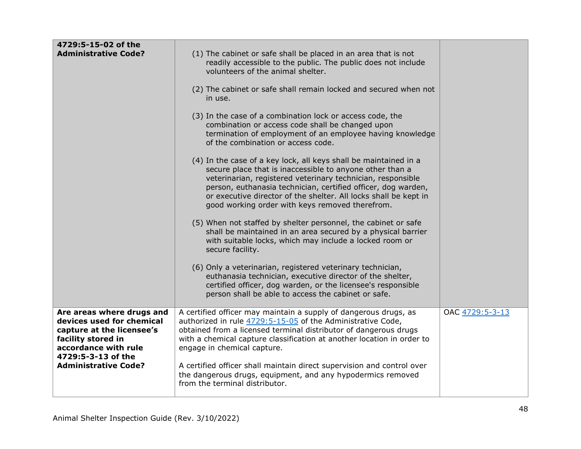| 4729:5-15-02 of the<br><b>Administrative Code?</b>                                                                                                                                     | (1) The cabinet or safe shall be placed in an area that is not<br>readily accessible to the public. The public does not include<br>volunteers of the animal shelter.<br>(2) The cabinet or safe shall remain locked and secured when not<br>in use.<br>(3) In the case of a combination lock or access code, the<br>combination or access code shall be changed upon<br>termination of employment of an employee having knowledge<br>of the combination or access code.<br>(4) In the case of a key lock, all keys shall be maintained in a<br>secure place that is inaccessible to anyone other than a<br>veterinarian, registered veterinary technician, responsible<br>person, euthanasia technician, certified officer, dog warden,<br>or executive director of the shelter. All locks shall be kept in<br>good working order with keys removed therefrom. |                 |
|----------------------------------------------------------------------------------------------------------------------------------------------------------------------------------------|----------------------------------------------------------------------------------------------------------------------------------------------------------------------------------------------------------------------------------------------------------------------------------------------------------------------------------------------------------------------------------------------------------------------------------------------------------------------------------------------------------------------------------------------------------------------------------------------------------------------------------------------------------------------------------------------------------------------------------------------------------------------------------------------------------------------------------------------------------------|-----------------|
|                                                                                                                                                                                        | (5) When not staffed by shelter personnel, the cabinet or safe<br>shall be maintained in an area secured by a physical barrier<br>with suitable locks, which may include a locked room or<br>secure facility.<br>(6) Only a veterinarian, registered veterinary technician,<br>euthanasia technician, executive director of the shelter,<br>certified officer, dog warden, or the licensee's responsible<br>person shall be able to access the cabinet or safe.                                                                                                                                                                                                                                                                                                                                                                                                |                 |
| Are areas where drugs and<br>devices used for chemical<br>capture at the licensee's<br>facility stored in<br>accordance with rule<br>4729:5-3-13 of the<br><b>Administrative Code?</b> | A certified officer may maintain a supply of dangerous drugs, as<br>authorized in rule 4729:5-15-05 of the Administrative Code,<br>obtained from a licensed terminal distributor of dangerous drugs<br>with a chemical capture classification at another location in order to<br>engage in chemical capture.<br>A certified officer shall maintain direct supervision and control over<br>the dangerous drugs, equipment, and any hypodermics removed<br>from the terminal distributor.                                                                                                                                                                                                                                                                                                                                                                        | OAC 4729:5-3-13 |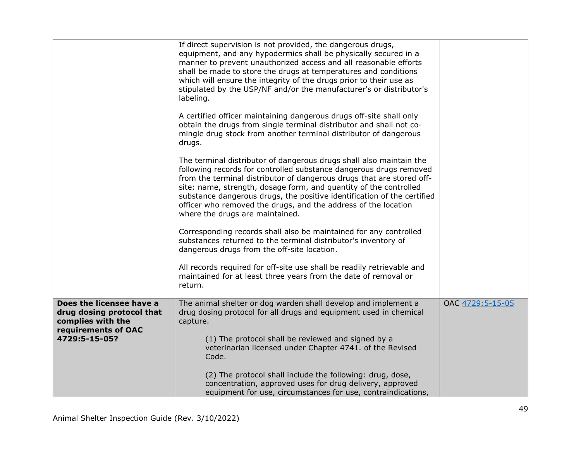|                                                                                                                    | If direct supervision is not provided, the dangerous drugs,<br>equipment, and any hypodermics shall be physically secured in a<br>manner to prevent unauthorized access and all reasonable efforts<br>shall be made to store the drugs at temperatures and conditions<br>which will ensure the integrity of the drugs prior to their use as<br>stipulated by the USP/NF and/or the manufacturer's or distributor's<br>labeling.<br>A certified officer maintaining dangerous drugs off-site shall only<br>obtain the drugs from single terminal distributor and shall not co-<br>mingle drug stock from another terminal distributor of dangerous<br>drugs.<br>The terminal distributor of dangerous drugs shall also maintain the<br>following records for controlled substance dangerous drugs removed<br>from the terminal distributor of dangerous drugs that are stored off-<br>site: name, strength, dosage form, and quantity of the controlled<br>substance dangerous drugs, the positive identification of the certified<br>officer who removed the drugs, and the address of the location |                  |
|--------------------------------------------------------------------------------------------------------------------|-----------------------------------------------------------------------------------------------------------------------------------------------------------------------------------------------------------------------------------------------------------------------------------------------------------------------------------------------------------------------------------------------------------------------------------------------------------------------------------------------------------------------------------------------------------------------------------------------------------------------------------------------------------------------------------------------------------------------------------------------------------------------------------------------------------------------------------------------------------------------------------------------------------------------------------------------------------------------------------------------------------------------------------------------------------------------------------------------------|------------------|
|                                                                                                                    | where the drugs are maintained.<br>Corresponding records shall also be maintained for any controlled<br>substances returned to the terminal distributor's inventory of<br>dangerous drugs from the off-site location.<br>All records required for off-site use shall be readily retrievable and<br>maintained for at least three years from the date of removal or<br>return.                                                                                                                                                                                                                                                                                                                                                                                                                                                                                                                                                                                                                                                                                                                       |                  |
| Does the licensee have a<br>drug dosing protocol that<br>complies with the<br>requirements of OAC<br>4729:5-15-05? | The animal shelter or dog warden shall develop and implement a<br>drug dosing protocol for all drugs and equipment used in chemical<br>capture.<br>(1) The protocol shall be reviewed and signed by a<br>veterinarian licensed under Chapter 4741. of the Revised<br>Code.<br>(2) The protocol shall include the following: drug, dose,<br>concentration, approved uses for drug delivery, approved<br>equipment for use, circumstances for use, contraindications,                                                                                                                                                                                                                                                                                                                                                                                                                                                                                                                                                                                                                                 | OAC 4729:5-15-05 |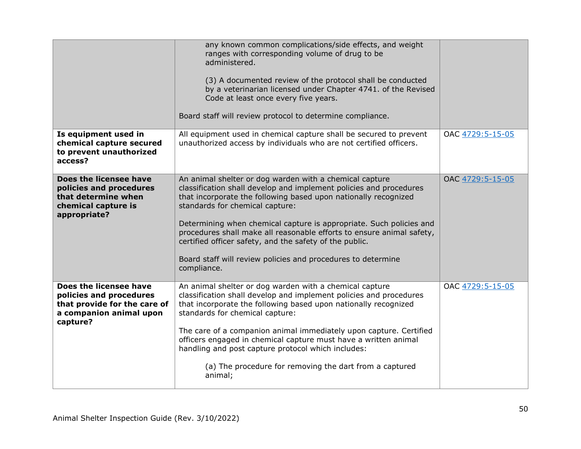|                                                                                                                          | any known common complications/side effects, and weight<br>ranges with corresponding volume of drug to be<br>administered.<br>(3) A documented review of the protocol shall be conducted<br>by a veterinarian licensed under Chapter 4741. of the Revised<br>Code at least once every five years.<br>Board staff will review protocol to determine compliance.                                                                                                                                                                |                  |
|--------------------------------------------------------------------------------------------------------------------------|-------------------------------------------------------------------------------------------------------------------------------------------------------------------------------------------------------------------------------------------------------------------------------------------------------------------------------------------------------------------------------------------------------------------------------------------------------------------------------------------------------------------------------|------------------|
| Is equipment used in<br>chemical capture secured<br>to prevent unauthorized<br>access?                                   | All equipment used in chemical capture shall be secured to prevent<br>unauthorized access by individuals who are not certified officers.                                                                                                                                                                                                                                                                                                                                                                                      | OAC 4729:5-15-05 |
| Does the licensee have<br>policies and procedures<br>that determine when<br>chemical capture is<br>appropriate?          | An animal shelter or dog warden with a chemical capture<br>classification shall develop and implement policies and procedures<br>that incorporate the following based upon nationally recognized<br>standards for chemical capture:<br>Determining when chemical capture is appropriate. Such policies and<br>procedures shall make all reasonable efforts to ensure animal safety,<br>certified officer safety, and the safety of the public.<br>Board staff will review policies and procedures to determine<br>compliance. | OAC 4729:5-15-05 |
| Does the licensee have<br>policies and procedures<br>that provide for the care of<br>a companion animal upon<br>capture? | An animal shelter or dog warden with a chemical capture<br>classification shall develop and implement policies and procedures<br>that incorporate the following based upon nationally recognized<br>standards for chemical capture:<br>The care of a companion animal immediately upon capture. Certified<br>officers engaged in chemical capture must have a written animal<br>handling and post capture protocol which includes:<br>(a) The procedure for removing the dart from a captured<br>animal;                      | OAC 4729:5-15-05 |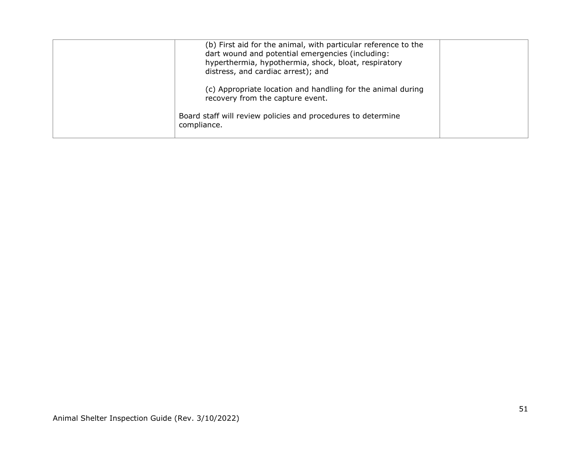| (b) First aid for the animal, with particular reference to the<br>dart wound and potential emergencies (including:<br>hyperthermia, hypothermia, shock, bloat, respiratory<br>distress, and cardiac arrest); and |  |
|------------------------------------------------------------------------------------------------------------------------------------------------------------------------------------------------------------------|--|
| (c) Appropriate location and handling for the animal during<br>recovery from the capture event.                                                                                                                  |  |
| Board staff will review policies and procedures to determine<br>compliance.                                                                                                                                      |  |